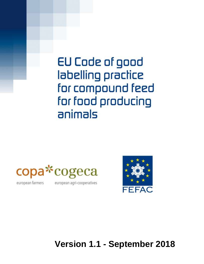# EU Code of good labelling practice for compound feed for food producing animals





european farmers

european agri-cooperatives

**Version 1.1 - September 2018**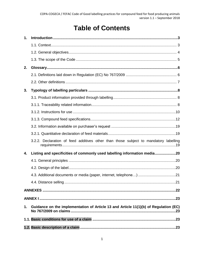# **Table of Contents**

| 1.            |                                                                                      |
|---------------|--------------------------------------------------------------------------------------|
|               |                                                                                      |
|               |                                                                                      |
|               |                                                                                      |
| 2.            |                                                                                      |
|               |                                                                                      |
|               |                                                                                      |
| 3.            |                                                                                      |
|               |                                                                                      |
|               |                                                                                      |
|               |                                                                                      |
|               |                                                                                      |
|               |                                                                                      |
|               |                                                                                      |
|               | 3.2.2. Declaration of feed additives other than those subject to mandatory labelling |
| 4.            | Listing and specificities of commonly used labelling information media20             |
|               |                                                                                      |
|               |                                                                                      |
|               |                                                                                      |
|               |                                                                                      |
|               |                                                                                      |
|               |                                                                                      |
| $\mathbf 1$ . | Guidance on the implementation of Article 13 and Article 11(1)(b) of Regulation (EC) |
|               |                                                                                      |
|               |                                                                                      |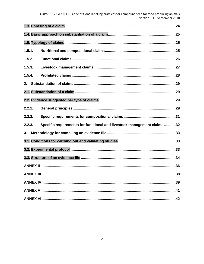| 1.5.1. |                                                                         |  |
|--------|-------------------------------------------------------------------------|--|
| 1.5.2. |                                                                         |  |
| 1.5.3. |                                                                         |  |
| 1.5.4. |                                                                         |  |
| 2.     |                                                                         |  |
|        |                                                                         |  |
|        |                                                                         |  |
| 2.2.1. |                                                                         |  |
| 2.2.2. |                                                                         |  |
| 2.2.3. | Specific requirements for functional and livestock management claims 32 |  |
| 3.     |                                                                         |  |
|        |                                                                         |  |
|        |                                                                         |  |
|        |                                                                         |  |
|        |                                                                         |  |
|        |                                                                         |  |
|        |                                                                         |  |
|        |                                                                         |  |
|        |                                                                         |  |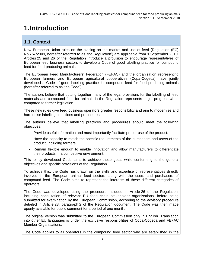# <span id="page-4-0"></span>**1.Introduction**

### <span id="page-4-1"></span>**1.1. Context**

New European Union rules on the placing on the market and use of feed (Regulation (EC) No 767/2009, hereafter referred to as 'the Regulation') are applicable from 1 September 2010. Articles 25 and 26 of the Regulation introduce a provision to encourage representatives of European feed business sectors to develop a Code of good labelling practice for compound feed for food-producing animals.

The European Feed Manufacturers' Federation (FEFAC) and the organisation representing European farmers and European agricultural cooperatives (Copa-Cogeca) have jointly developed a Code of good labelling practice for compound feed for food producing animals (hereafter referred to as 'the Code').

The authors believe that putting together many of the legal provisions for the labelling of feed materials and compound feed for animals in the Regulation represents major progress when compared to former legislation.

These new rules give feed business operators greater responsibility and aim to modernise and harmonise labelling conditions and procedures.

The authors believe that labelling practices and procedures should meet the following objectives:

- Provide useful information and most importantly facilitate proper use of the product.
- Have the capacity to match the specific requirements of the purchasers and users of the product, including farmers
- Remain flexible enough to enable innovation and allow manufacturers to differentiate their products in a competitive environment.

This jointly developed Code aims to achieve these goals while conforming to the general objectives and specific provisions of the Regulation.

To achieve this, the Code has drawn on the skills and expertise of representatives directly involved in the European animal feed sectors along with the users and purchasers of compound feed. The Code aims to represent the interests of these different categories of operators.

The Code was developed using the procedure included in Article 26 of the Regulation, including consultation of relevant EU feed chain stakeholder organisations, before being submitted for examination by the European Commission, according to the advisory procedure detailed in Article 28, paragraph 2 of the Regulation document. The Code was then made openly available for public comment for a period of one month.

The original version was submitted to the European Commission only in English. Translation into other EU languages is under the exclusive responsibilities of Copa-Cogeca and FEFAC Member Organisations.

The Code applies to all operators in the compound feed sector who are established in the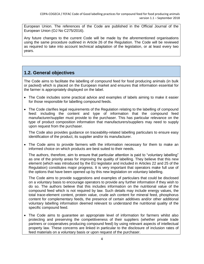European Union. The references of the Code are published in the Official Journal of the European Union (OJ No C275/2016).

Any future changes to the current Code will be made by the aforementioned organisations using the same procedure outlined in Article 26 of the Regulation. The Code will be reviewed as required to take into account technical adaptation of the legislation, or at least every two years.

### <span id="page-5-0"></span>**1.2. General objectives**

The Code aims to facilitate the labelling of compound feed for food producing animals (in bulk or packed) which is placed on the European market and ensures that information essential for the farmer is appropriately displayed on the label.

- The Code includes some practical advice and examples of labels aiming to make it easier for those responsible for labelling compound feeds.
- The Code clarifies legal requirements of the Regulation relating to the labelling of compound feed: including the content and type of information that the compound feed manufacturer/supplier must provide to the purchaser. This has particular relevance on the type of product composition information that manufacturers/suppliers may need to supply upon request from the purchaser.

The Code also provides guidance on traceability-related labelling particulars to ensure easy identification of the product, its supplier and/or its manufacturer.

• The Code aims to provide farmers with the information necessary for them to make an informed choice on which products are best suited to their needs.

The authors, therefore, aim to ensure that particular attention is paid to "voluntary labelling" as one of the priority areas for improving the quality of labelling. They believe that this new element (which was introduced by the EU legislator and included in Articles 22 and 25 of the Regulation) constitutes major progress. It is very important that operators make full use of the options that have been opened up by this new legislation on voluntary labelling.

The Code aims to provide suggestions and examples of particulars that could be disclosed on a voluntary basis to encourage operators to provide any further information if they wish to do so. The authors believe that this includes information on the nutritional value of the compound feed which is not required by law. Such details may include energy values, the total trace-element content, protein value, crude ash content for mineral feed, phosphorus content for complementary feeds, the presence of certain additives and/or other additional voluntary labelling information deemed relevant to understand the nutritional quality of the specific compound feed.

• The Code aims to quarantee an appropriate level of information for farmers whilst also protecting and preserving the competitiveness of their suppliers (whether private trade partners or cooperatives producing compound feed) by using relevant aspects of intellectual property law. These concerns are linked in particular to the disclosure of inclusion rates of feed materials on a voluntary basis or upon request of the purchaser.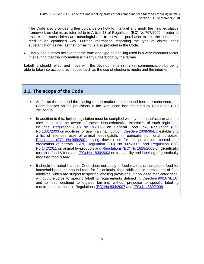The Code also provides further guidance on how to interpret and apply the new legislative framework on claims as referred to in Article 13 of Regulation (EC) No 767/2009 in order to ensure that such claims are meaningful and to allow the purchaser to use the compound feed in an optimised way. Further information regarding the type of claims, their substantiation as well as their phrasing is also provided in the Code.

• Finally, the authors believe that the form and type of labelling used is a very important factor in ensuring that the information is clearly understood by the farmer.

Labelling should reflect and move with the developments in market communication by being able to take into account techniques such as the use of electronic media and the internet.

### <span id="page-6-0"></span>**1.3. The scope of the Code**

- As far as the use and the placing on the market of compound feed are concerned, the Code focuses on the provisions in the Regulation last amended by Regulation (EU) 2017/2279.
- In addition to this, further legislation must be complied with by the manufacturer and the user must also be aware of these. Non-exhaustive examples of such legislation includes, [Regulation \(EC\) No](http://eur-lex.europa.eu/legal-content/EN/TXT/PDF/?uri=CELEX:02002R0178-20140630&qid=1465241062181&from=EN) 178/2002 on General Food Law, [Regulation \(EC\)](http://eur-lex.europa.eu/legal-content/EN/TXT/PDF/?uri=CELEX:02003R1831-20151230&qid=1465241123530&from=EN)  No [1831/2003](http://eur-lex.europa.eu/legal-content/EN/TXT/PDF/?uri=CELEX:02003R1831-20151230&qid=1465241123530&from=EN) on additives for use in animal nutrition, [Directive 2008/38/EC](http://eur-lex.europa.eu/legal-content/EN/TXT/PDF/?uri=CELEX:02008L0038-20141112&qid=1465240992785&from=EN) establishing a list of intended uses of animal feedingstuffs for particular nutritional purposes. [Regulation \(EC\) No](http://eur-lex.europa.eu/legal-content/EN/TXT/PDF/?uri=CELEX:02001R0999-20160203&qid=1465241172093&from=EN) 999/2001 laying down rules for the prevention, control and eradication of certain TSEs, [Regulation \(EC\) No](http://eur-lex.europa.eu/legal-content/EN/TXT/PDF/?uri=CELEX:02009R1069-20140101&qid=1465241215320&from=EN) 1069/2009 and [Regulation \(EC\)](http://eur-lex.europa.eu/legal-content/EN/TXT/PDF/?uri=CELEX:02011R0142-20150223&qid=1465241286881&from=EN)  No [142/2011](http://eur-lex.europa.eu/legal-content/EN/TXT/PDF/?uri=CELEX:02011R0142-20150223&qid=1465241286881&from=EN) on animal by-products and [Regulations \(EC\) No](http://eur-lex.europa.eu/legal-content/EN/TXT/PDF/?uri=CELEX:02003R1829-20080410&qid=1465241353612&from=EN) 1829/2003 on genetically modified food & feed and (EC) No [1830/2003](http://eur-lex.europa.eu/legal-content/EN/TXT/PDF/?uri=CELEX:02003R1830-20081211&qid=1465241393697&from=EN) on traceability and labelling of genetically modified food & feed.
- It should be noted that this Code does not apply to feed materials, compound feed for household pets, compound feed for fur animals, feed additives or premixtures of feed additives, which are subject to specific labelling provisions. It applies to medicated feed, without prejudice to specific labelling requirements defined in Directive [90/167/EEC,](http://eur-lex.europa.eu/LexUriServ/LexUriServ.do?uri=CELEX:31990L0167:EN:HTML) and to feed destined to organic farming, without prejudice to specific labelling requirements defined in Regulations (EC) No [834/2007](http://eur-lex.europa.eu/legal-content/EN/TXT/PDF/?uri=CELEX:02007R0834-20130701&qid=1465241442307&from=EN) and (EC) No [889/2008.](http://eur-lex.europa.eu/legal-content/EN/TXT/PDF/?uri=CELEX:02008R0889-20150101&qid=1465241480103&from=EN)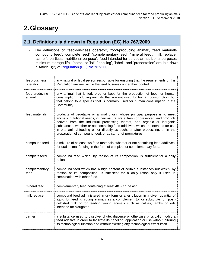# <span id="page-7-0"></span>**2.Glossary**

### <span id="page-7-1"></span>**2.1. Definitions laid down in Regulation (EC) No 767/2009**

• The definitions of 'feed-business operator', 'food-producing animal', 'feed materials', 'compound feed', 'complete feed', 'complementary feed', 'mineral feed', 'milk replacer', 'carrier', 'particular nutritional purpose', 'feed intended for particular nutritional purposes', 'minimum storage life', 'batch' or 'lot', 'labelling', 'label', and 'presentation' are laid down in Article 3(2) of [Regulation \(EC\) No](http://eur-lex.europa.eu/legal-content/EN/TXT/PDF/?uri=CELEX:02009R0767-20100901&qid=1465241522728&from=EN) 767/2009.

| feed-business<br>operator | any natural or legal person responsible for ensuring that the requirements of this<br>Regulation are met within the feed business under their control.                                                                                                                                                                                                                                                                                                                              |
|---------------------------|-------------------------------------------------------------------------------------------------------------------------------------------------------------------------------------------------------------------------------------------------------------------------------------------------------------------------------------------------------------------------------------------------------------------------------------------------------------------------------------|
| food-producing<br>animal  | any animal that is fed, bred or kept for the production of food for human<br>consumption, including animals that are not used for human consumption, but<br>that belong to a species that is normally used for human consumption in the<br>Community.                                                                                                                                                                                                                               |
| feed materials            | products of vegetable or animal origin, whose principal purpose is to meet<br>animals' nutritional needs, in their natural state, fresh or preserved, and products<br>derived from the industrial processing thereof, and organic or inorganic<br>substances, whether or not containing feed additives, which are intended for use<br>in oral animal-feeding either directly as such, or after processing, or in the<br>preparation of compound feed, or as carrier of premixtures. |
| compound feed             | a mixture of at least two feed materials, whether or not containing feed additives,<br>for oral animal-feeding in the form of complete or complementary feed.                                                                                                                                                                                                                                                                                                                       |
| complete feed             | compound feed which, by reason of its composition, is sufficient for a daily<br>ration.                                                                                                                                                                                                                                                                                                                                                                                             |
| complementary<br>feed     | compound feed which has a high content of certain substances but which, by<br>reason of its composition, is sufficient for a daily ration only if used in<br>combination with other feed.                                                                                                                                                                                                                                                                                           |
| mineral feed              | complementary feed containing at least 40% crude ash.                                                                                                                                                                                                                                                                                                                                                                                                                               |
| milk replacer             | compound feed administered in dry form or after dilution in a given quantity of<br>liquid for feeding young animals as a complement to, or substitute for, post-<br>colostral milk or for feeding young animals such as calves, lambs or kids<br>intended for slaughter.                                                                                                                                                                                                            |
| carrier                   | a substance used to dissolve, dilute, disperse or otherwise physically modify a<br>feed additive in order to facilitate its handling, application or use without altering<br>its technological function and without exerting any technological effect itself.                                                                                                                                                                                                                       |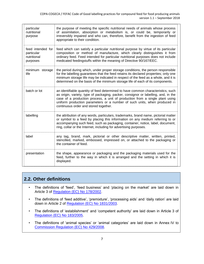| particular<br>nutritional<br>purpose                       | the purpose of meeting the specific nutritional needs of animals whose process<br>of assimilation, absorption or metabolism is, or could be, temporarily or<br>irreversibly impaired and who can, therefore, benefit from the ingestion of feed<br>appropriate to their condition.                                                                                           |
|------------------------------------------------------------|------------------------------------------------------------------------------------------------------------------------------------------------------------------------------------------------------------------------------------------------------------------------------------------------------------------------------------------------------------------------------|
| feed intended for<br>particular<br>nutritional<br>purposes | feed which can satisfy a particular nutritional purpose by virtue of its particular<br>composition or method of manufacture, which clearly distinguishes it from<br>ordinary feed. Feed intended for particular nutritional purposes does not include<br>medicated feedingstuffs within the meaning of Directive 90/167/EEC.                                                 |
| minimum storage<br>life                                    | the period during which, under proper storage conditions, the person responsible<br>for the labelling guarantees that the feed retains its declared properties; only one<br>minimum storage life may be indicated in respect of the feed as a whole, and it is<br>determined on the basis of the minimum storage life of each of its components.                             |
| batch or lot                                               | an identifiable quantity of feed determined to have common characteristics, such<br>as origin, variety, type of packaging, packer, consignor or labelling, and, in the<br>case of a production process, a unit of production from a single plant using<br>uniform production parameters or a number of such units, when produced in<br>continuous order and stored together. |
| labelling                                                  | the attribution of any words, particulars, trademarks, brand name, pictorial matter<br>or symbol to a feed by placing this information on any medium referring to or<br>accompanying such feed, such as packaging, container, notice, label, document,<br>ring, collar or the Internet, including for advertising purposes.                                                  |
| label                                                      | any tag, brand, mark, pictorial or other descriptive matter, written, printed,<br>stencilled, marked, embossed, impressed on, or attached to the packaging or<br>the container of feed.                                                                                                                                                                                      |
| presentation                                               | the shape, appearance or packaging and the packaging materials used for the<br>feed, further to the way in which it is arranged and the setting in which it is<br>displayed.                                                                                                                                                                                                 |

### <span id="page-8-0"></span>**2.2. Other definitions**

- The definitions of 'feed', 'feed business' and 'placing on the market' are laid down in Article 3 of [Regulation \(EC\) No](http://eur-lex.europa.eu/legal-content/EN/TXT/PDF/?uri=CELEX:02002R0178-20140630&qid=1465241062181&from=EN) 178/2002.
- The definitions of 'feed additive', 'premixture', 'processing aids' and 'daily ration' are laid down in Article 2 of [Regulation \(EC\) No](http://eur-lex.europa.eu/legal-content/EN/TXT/PDF/?uri=CELEX:02003R1831-20151230&qid=1465241123530&from=EN) 1831/2003.
- The definitions of 'establishment' and 'competent authority' are laid down in Article 3 of [Regulation \(EC\) No](http://eur-lex.europa.eu/legal-content/EN/TXT/PDF/?uri=CELEX:02005R0183-20160423&qid=1465241898309&from=EN) 183/2005.
- The definitions of 'animal species' or 'animal categories' are laid down in Annex IV to [Commission Regulation \(EC\) No](http://eur-lex.europa.eu/legal-content/EN/TXT/PDF/?uri=CELEX:32008R0429&qid=1465241987757&from=EN) 429/2008.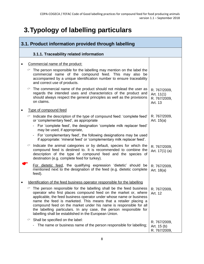# <span id="page-9-0"></span>**3.Typology of labelling particulars**

<span id="page-9-2"></span><span id="page-9-1"></span>

| 3.1. Product information provided through labelling                                                                                                                                                                                                                                                                                                                                                                                                                                                           |                                                         |  |
|---------------------------------------------------------------------------------------------------------------------------------------------------------------------------------------------------------------------------------------------------------------------------------------------------------------------------------------------------------------------------------------------------------------------------------------------------------------------------------------------------------------|---------------------------------------------------------|--|
| 3.1.1. Traceability related information                                                                                                                                                                                                                                                                                                                                                                                                                                                                       |                                                         |  |
| Commercial name of the product:                                                                                                                                                                                                                                                                                                                                                                                                                                                                               |                                                         |  |
| $\circ$ The person responsible for the labelling may mention on the label the<br>commercial name of the compound feed. This may also be<br>accompanied by a unique identification number to ensure traceability<br>and correct use of products.                                                                                                                                                                                                                                                               |                                                         |  |
| The commercial name of the product should not mislead the user as<br>℺<br>regards the intended uses and characteristics of the product and<br>should always respect the general principles as well as the provisions<br>on claims.                                                                                                                                                                                                                                                                            | R. 767/2009,<br>Art. $11(1)$<br>R. 767/2009,<br>Art. 13 |  |
| Type of compound feed                                                                                                                                                                                                                                                                                                                                                                                                                                                                                         |                                                         |  |
| Indicate the description of the type of compound feed: 'complete feed'<br>☞<br>or 'complementary feed', as appropriate<br>For 'complete feed', the designation 'complete milk replacer feed'<br>may be used, if appropriate,                                                                                                                                                                                                                                                                                  | R. 767/2009,<br>Art. 15(a)                              |  |
| For 'complementary feed', the following designations may be used<br>$\overline{\phantom{a}}$<br>if appropriate: 'mineral feed' or 'complementary milk replacer feed'.                                                                                                                                                                                                                                                                                                                                         |                                                         |  |
| Indicate the animal categories or by default, species for which the<br>compound feed is destined to. It is recommended to combine the<br>description of the type of compound feed and the species of<br>destination (e.g. complete feed for turkey).                                                                                                                                                                                                                                                          | R. 767/2009,<br>Art. 17(1) (a)                          |  |
| For dietetic feed, the qualifying expression 'dietetic' should be<br>mentioned next to the designation of the feed (e.g. dietetic complete<br>feed).                                                                                                                                                                                                                                                                                                                                                          | R. 767/2009,<br>Art. 18(a)                              |  |
| Identification of the feed business operator responsible for the labelling                                                                                                                                                                                                                                                                                                                                                                                                                                    |                                                         |  |
| $\degree$ The person responsible for the labelling shall be the feed business   R. 767/2009,<br>operator who first places compound feed on the market or, where<br>applicable, the feed business operator under whose name or business<br>name the feed is marketed. This means that a retailer placing a<br>compound feed on the market under his name is responsible for all<br>the labelling particulars. In any case, the person responsible for<br>labelling shall be established in the European Union. | Art. 12                                                 |  |
| $\degree$ Shall be specified on the label:<br>The name or business name of the person responsible for labelling;                                                                                                                                                                                                                                                                                                                                                                                              | R. 767/2009,<br>Art. 15 (b)<br>R. 767/2009,             |  |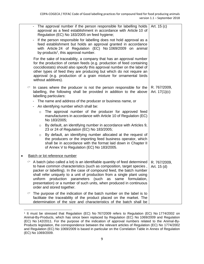|           |   | - The approval number if the person responsible for labelling holds<br>approval as a feed establishment in accordance with Article 10 of<br>Regulation (EC) No 183/2005 on feed hygiene;                                                                                                                                                                                                                                                                                       | Art. 15 (c)                     |
|-----------|---|--------------------------------------------------------------------------------------------------------------------------------------------------------------------------------------------------------------------------------------------------------------------------------------------------------------------------------------------------------------------------------------------------------------------------------------------------------------------------------|---------------------------------|
|           |   | If the person responsible for labelling does not hold approval as a<br>-<br>feed establishment but holds an approval granted in accordance<br>with Article 24 of Regulation (EC) No 1069/2009 on animal<br>by-products <sup>1</sup> , this approval number.                                                                                                                                                                                                                    |                                 |
|           |   | For the sake of traceability, a company that has an approval number<br>for the production of certain feeds (e.g. production of feed containing<br>coccidiostats) should also specify this approval number on the label of<br>other types of feed they are producing but which do not require an<br>approval (e.g. production of a grain mixture for ornamental birds<br>without additives).                                                                                    |                                 |
|           | ☞ | In cases where the producer is not the person responsible for the<br>labelling, the following shall be provided in addition to the above<br>labelling particulars:                                                                                                                                                                                                                                                                                                             | R. 767/2009,<br>Art. $17(1)(c)$ |
|           |   | The name and address of the producer or business name, or                                                                                                                                                                                                                                                                                                                                                                                                                      |                                 |
|           |   | An identifying number which shall be:<br>$\overline{\phantom{a}}$                                                                                                                                                                                                                                                                                                                                                                                                              |                                 |
|           |   | The approval number of the producer for approved feed<br>$\circ$<br>manufacturers in accordance with Article 10 of Regulation (EC)<br>No 183/2005;                                                                                                                                                                                                                                                                                                                             |                                 |
|           |   | By default, an identifying number in accordance with Articles 9,<br>$\circ$<br>23 or 24 of Regulation (EC) No 183/2005;                                                                                                                                                                                                                                                                                                                                                        |                                 |
|           |   | By default, an identifying number allocated at the request of<br>$\circ$<br>the producers or the importing feed business operator, which<br>shall be in accordance with the format laid down in Chapter II<br>of Annex V to Regulation (EC) No 183/2005.                                                                                                                                                                                                                       |                                 |
| $\bullet$ |   | Batch or lot reference number                                                                                                                                                                                                                                                                                                                                                                                                                                                  |                                 |
|           |   | $\circ$ A batch (also called a lot) is an identifiable quantity of feed determined<br>to have common characteristics (such as composition, target species,<br>packer or labelling). In the case of compound feed, the batch number<br>shall refer uniquely to a unit of production from a single plant using<br>uniform production parameters (such as same formulation,<br>presentation) or a number of such units, when produced in continuous<br>order and stored together. | R. 767/2009,<br>Art. 15 (d)     |
|           | ℺ | The purpose of the indication of the batch number on the label is to<br>facilitate the traceability of the product placed on the market. The<br>determination of the size and characteristics of the batch shall be                                                                                                                                                                                                                                                            |                                 |

l 1 It must be stressed that Regulation (EC) No 767/2009 refers to Regulation (EC) No 1774/2002 on Animal-By-Products, which has since been replaced by Regulation (EC) No 1069/2009 and Regulation (EC) No 142/2011. For the purpose of the indication of approval numbers related to the Animal-By-Products legislation, the correspondence between the relevant articles of Regulation (EC) No 1774/2002 and Regulation (EC) No 1069/2009 is based in particular on the Correlation Table in Annex of Regulation (EC) No 1069/2009.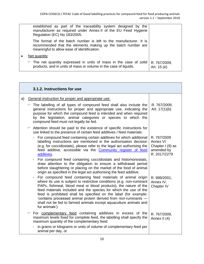|           | established as part of the traceability system designed by the<br>manufacturer as required under Annex II of the EU Feed Hygiene<br>Regulation (EC) No 183/2005.                 |                             |
|-----------|----------------------------------------------------------------------------------------------------------------------------------------------------------------------------------|-----------------------------|
|           | The format of the batch number is left to the manufacturer. It is<br>recommended that the elements making up the batch number are<br>meaningful to allow ease of identification. |                             |
| $\bullet$ | Net quantity                                                                                                                                                                     |                             |
|           | $\degree$ The net quantity expressed in units of mass in the case of solid<br>products, and in units of mass or volume in the case of liquids.                                   | R. 767/2009,<br>Art. 15 (e) |

<span id="page-11-0"></span>

|    | 3.1.2. Instructions for use                                                                                                                                                                                                                                                                                                                                                                                                                                                                                 |                                                                           |
|----|-------------------------------------------------------------------------------------------------------------------------------------------------------------------------------------------------------------------------------------------------------------------------------------------------------------------------------------------------------------------------------------------------------------------------------------------------------------------------------------------------------------|---------------------------------------------------------------------------|
| a) | General instruction for proper and appropriate use:                                                                                                                                                                                                                                                                                                                                                                                                                                                         |                                                                           |
|    | $\degree$ The labelling of all types of compound feed shall also include the<br>general instructions for proper and appropriate use, indicating the<br>purpose for which the compound feed is intended and when required<br>by the legislation, animal categories or species to which the<br>compound feed must not legally be fed.                                                                                                                                                                         | R. 767/2009,<br>Art. $17(1)(b)$                                           |
|    | Attention should be paid to the existence of specific instructions for<br>use linked to the presence of certain feed additives / feed materials:                                                                                                                                                                                                                                                                                                                                                            |                                                                           |
|    | For compound feed containing certain additives for which additional<br>labelling instructions are mentioned in the authorisation decision<br>(e.g. for coccidiostats), please refer to the legal act authorising the<br>feed additive, accessible via the Community register of feed<br>additives.                                                                                                                                                                                                          | R. 767/2009<br>Annex VI<br>Chapter I (9) as<br>amended by<br>R. 2017/2279 |
|    | For compound feed containing coccidiostats and histomonostats,<br>draw attention to the obligation to ensure a withdrawal period<br>before slaughtering or placing on the market of the food of animal<br>origin as specified in the legal act authorising the feed additive.                                                                                                                                                                                                                               |                                                                           |
|    | For compound feed containing feed materials of animal origin<br>where its use is subject to restrictive conditions (e.g. non-ruminant<br>PAPs, fishmeal, blood meal or blood products), the nature of the<br>feed materials included and the species for which the use of the<br>feed is prohibited shall be specified on the label (for example:<br>'contains processed animal protein derived from non-ruminants -<br>shall not be fed to farmed animals except aquaculture animals and<br>fur animals'). | R. 999/2001,<br>Annex IV,<br>Chapter IV                                   |
|    | For complementary feed containing additives in excess of the<br>maximum levels fixed for complete feed, the labelling shall specify the<br>maximum quantity of the complementary feed:                                                                                                                                                                                                                                                                                                                      | R. 767/2009,<br>Annex II (4)                                              |
|    | in grams or kilograms or units of volume of complementary feed per<br>animal per day, or                                                                                                                                                                                                                                                                                                                                                                                                                    |                                                                           |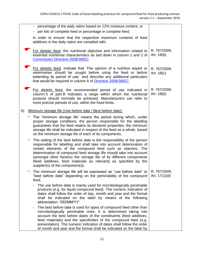|    |   | percentage of the daily ration based on 12% moisture content, or                                                                                                                                                                                                                                                                                                                                                                                                         |                            |
|----|---|--------------------------------------------------------------------------------------------------------------------------------------------------------------------------------------------------------------------------------------------------------------------------------------------------------------------------------------------------------------------------------------------------------------------------------------------------------------------------|----------------------------|
|    |   | per kilo of complete feed or percentage in complete feed,                                                                                                                                                                                                                                                                                                                                                                                                                |                            |
|    |   | in order to ensure that the respective maximum contents of feed<br>additives in the daily ration are complied with.                                                                                                                                                                                                                                                                                                                                                      |                            |
|    |   | For dietetic feed, the nutritional objective and information related to<br>essential nutritional characteristics as laid down in column 1 and 2 of<br><b>Commission Directive 2008/38/EC</b>                                                                                                                                                                                                                                                                             | R. 767/2009,<br>Art. 18(b) |
|    |   | For dietetic feed, indicate that 'The opinion of a nutrition expert or<br>veterinarian should be sought before using the feed or before<br>extending its period of use.' and describe any additional particulars<br>that would be required in column 6 of Directive 2008/38/EC.                                                                                                                                                                                          | R. 767/2009,<br>Art. 18(c) |
|    |   | For dietetic feed, the recommended period of use indicated in<br>column 5 of part B indicates a range within which the nutritional<br>purpose should normally be achieved. Manufacturers can refer to<br>more precise periods of use, within the fixed limits.                                                                                                                                                                                                           | R. 767/2009,<br>Art. 18(b) |
| b) |   | Minimum storage life (Use before date / Best before date):                                                                                                                                                                                                                                                                                                                                                                                                               |                            |
|    | ☞ | The 'minimum storage life' means the period during which, under<br>proper storage conditions, the person responsible for the labelling<br>guarantees that the feed retains its declared properties; the minimum<br>storage life shall be indicated in respect of the feed as a whole, based<br>on the minimum storage life of each of its components.                                                                                                                    |                            |
|    | ☞ | The setting of the best before date is the responsibility of the person<br>responsible for labelling and shall take into account deterioration of<br>certain elements of the compound feed such as vitamins. The<br>determination of compound feed storage life should take into account<br>(amongst other factors) the storage life of its different components<br>(feed additives, feed materials as relevant) as specified by the<br>supplier(s) of the component(s). |                            |
|    | ☞ | The minimum storage life will be expressed as "use before date" or $\vert$ R. 767/2009,<br>"best before date" depending on the perishability of the compound<br>feed.                                                                                                                                                                                                                                                                                                    | Art. $17(1)(d)$            |
|    |   | The use before date is mainly used for microbiologically perishable<br>products (e.g. for liquid compound feed). The numeric indication of<br>dates shall follow the order of day, month and year and the format<br>shall be indicated on the label by means of the following<br>abbreviation: 'DD/MM/YY'.                                                                                                                                                               |                            |
|    |   | The best before date is used for types of compound feed other than<br>-<br>microbiologically perishable ones. It is determined taking into<br>account the best before dates of the constituents (feed additives,<br>feed materials) and the specificities of the compound feed (e.g.<br>presentation). The numeric indication of dates shall follow the order<br>of month and year and the format shall be indicated on the label by                                     |                            |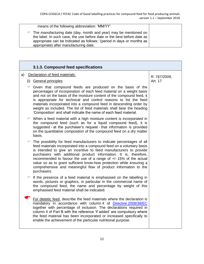|   | means of the following abbreviation: 'MM/YY'.                                                                                                                                                                                                                   |  |
|---|-----------------------------------------------------------------------------------------------------------------------------------------------------------------------------------------------------------------------------------------------------------------|--|
| ☞ | The manufacturing date (day, month and year) may be mentioned on<br>the label. In such case, the use before date or the best before date as<br>appropriate can be indicated as follows: '(period in days or months as<br>appropriate) after manufacturing date. |  |
|   |                                                                                                                                                                                                                                                                 |  |

<span id="page-13-0"></span>

|    | 3.1.3. Compound feed specifications |                                                                                                                                                                                                                                                                                                                                                                                                                                                                                                                           |              |  |
|----|-------------------------------------|---------------------------------------------------------------------------------------------------------------------------------------------------------------------------------------------------------------------------------------------------------------------------------------------------------------------------------------------------------------------------------------------------------------------------------------------------------------------------------------------------------------------------|--------------|--|
| a) |                                     | Declaration of feed materials:                                                                                                                                                                                                                                                                                                                                                                                                                                                                                            | R. 767/2009, |  |
|    |                                     | (i) General principles                                                                                                                                                                                                                                                                                                                                                                                                                                                                                                    | Art. 17      |  |
|    |                                     | $\degree$ Given that compound feeds are produced on the basis of the<br>percentages of incorporation of each feed material on a weight basis<br>and not on the basis of the moisture content of the compound feed, it<br>is appropriate for technical and control reasons to list the feed<br>materials incorporated into a compound feed in descending order by<br>weight as included. The list of feed materials shall bear the heading<br>'Composition' and shall indicate the name of each feed material.             |              |  |
|    |                                     | $\degree$ When a feed material with a high moisture content is incorporated in<br>the compound feed (such as for a liquid compound feed), it is<br>suggested - at the purchaser's request - that information is provided<br>on the quantitative composition of the compound feed on a dry matter<br>basis.                                                                                                                                                                                                                |              |  |
|    |                                     | The possibility for feed manufacturers to indicate percentages of all<br>feed materials incorporated into a compound feed on a voluntary basis<br>is intended to give an incentive to feed manufacturers to provide<br>purchasers with additional product information. It is, therefore,<br>recommended to favour the use of a range of $+/-15\%$ of the actual<br>value so as to grant sufficient know-how protection while ensuring a<br>comprehensive and meaningful flow of product information to the<br>purchasers. |              |  |
|    |                                     | $\degree$ If the presence of a feed material is emphasised on the labelling in<br>words, pictures or graphics, in particular in the commercial name of<br>the compound feed, the name and percentage by weight of this<br>emphasised feed material shall be indicated.                                                                                                                                                                                                                                                    |              |  |
|    |                                     | For dietetic feed, describe the feed materials where the declaration is<br>mandatory in accordance with column 4 of Directive 2008/38/EC<br>together with percentage of inclusion. The declarations required in<br>column 4 of Part B with the reference 'if added' are compulsory where<br>the feed material has been incorporated or increased specifically to<br>enable the achievement of the particular nutritional purpose.                                                                                         |              |  |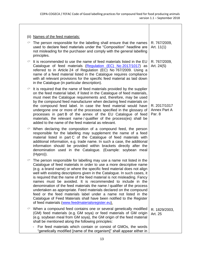|   | (ii) Names of the feed materials:                                                                                                                                                                                                                                                                                                                                                                                                                                                                                                                                                                                                                                                                                                                                                            |                                        |
|---|----------------------------------------------------------------------------------------------------------------------------------------------------------------------------------------------------------------------------------------------------------------------------------------------------------------------------------------------------------------------------------------------------------------------------------------------------------------------------------------------------------------------------------------------------------------------------------------------------------------------------------------------------------------------------------------------------------------------------------------------------------------------------------------------|----------------------------------------|
| ☞ | The person responsible for the labelling shall ensure that the names<br>used to declare feed materials under the "Composition" headline are<br>not misleading for the purchaser and comply with the general labelling<br>principles.                                                                                                                                                                                                                                                                                                                                                                                                                                                                                                                                                         | R. 767/2009,<br>Art. $11(1)$           |
| ☞ | It is recommended to use the name of feed materials listed in the EU<br>Catalogue of feed materials (Regulation (EC) No 2017/1017) as<br>referred to in Article 24 of Regulation (EC) No 767/2009. Using a<br>name of a feed material listed in the Catalogue requires compliance<br>with all relevant provisions for the specific feed material as laid down<br>in the Catalogue (in particular description).                                                                                                                                                                                                                                                                                                                                                                               | R. 767/2009,<br>Art. 24(5)             |
|   | $\degree$ It is required that the name of feed materials provided by the supplier<br>on the feed material label, if listed in the Catalogue of feed materials,<br>must meet the Catalogue requirements and, therefore, may be used<br>by the compound feed manufacturer when declaring feed materials on<br>the compound feed label. In case the feed material would have<br>undergone one or more of the processes specified in the glossary of<br>processes in part B of the annex of the EU Catalogue of feed<br>materials, the relevant name/qualifier of the process(es) shall be<br>added to the name of the feed material as relevant.                                                                                                                                                | R. 2017/1017<br>Annex Part A<br>Par. 8 |
|   | $\circ$ When declaring the composition of a compound feed, the person<br>responsible for the labelling may supplement the name of a feed<br>material listed in part C of the Catalogue of feed materials with<br>additional information, e.g. trade name. In such a case, the additional<br>information should be provided within brackets directly after the<br>denomination used in the Catalogue. (Example: soybean meal<br>(Hypro)).                                                                                                                                                                                                                                                                                                                                                     |                                        |
| ☞ | The person responsible for labelling may use a name not listed in the<br>Catalogue of feed materials in order to use a more descriptive name<br>(e.g. a brand name) or where the specific feed material does not align<br>well with existing descriptions given in the Catalogue. In such cases, it<br>is required that the name of the feed material is not misleading. Fancy<br>names must be avoided. It is recommended to include in the<br>denomination of the feed materials the name / qualifier of the process<br>undertaken as appropriate. Feed materials declared on the compound<br>feed or the feed materials label under a name not listed in the<br>Catalogue of Feed Materials shall have been notified to the Register<br>of feed materials (www.feedmaterialsregister.eu). |                                        |
| ℺ | When a compound feed contains one or several genetically modified<br>(GM) feed materials (e.g. GM soya) or feed materials of GM origin<br>(e.g. soybean meal from GM soya), the GM origin of the feed material<br>shall be mentioned along the following principles:<br>For feed materials which contain or consist of GMOs, the words                                                                                                                                                                                                                                                                                                                                                                                                                                                       | R. 1829/2003,<br>Art. 25               |
|   | "genetically modified [name of the organism]" shall appear either in                                                                                                                                                                                                                                                                                                                                                                                                                                                                                                                                                                                                                                                                                                                         |                                        |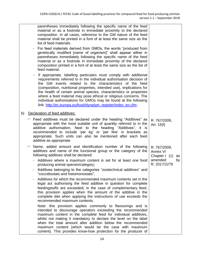|    | parentheses immediately following the specific name of the feed<br>material or as a footnote in immediate proximity to the declared<br>composition. In all cases, reference to the GM nature of the feed<br>material shall be printed in a font of at least the same size as the<br>list of feed materials.                                                                                                                                                                                                                                                                                                                                                                                                                                                                                                                                                                                                                                                                                                                                                                                                                                                                                                                                        |                                                                                |          |
|----|----------------------------------------------------------------------------------------------------------------------------------------------------------------------------------------------------------------------------------------------------------------------------------------------------------------------------------------------------------------------------------------------------------------------------------------------------------------------------------------------------------------------------------------------------------------------------------------------------------------------------------------------------------------------------------------------------------------------------------------------------------------------------------------------------------------------------------------------------------------------------------------------------------------------------------------------------------------------------------------------------------------------------------------------------------------------------------------------------------------------------------------------------------------------------------------------------------------------------------------------------|--------------------------------------------------------------------------------|----------|
|    | For feed materials derived from GMOs, the words "produced from<br>-<br>genetically modified [name of organism]" shall appear either in<br>parentheses immediately following the specific name of the feed<br>material or as a footnote in immediate proximity of the declared<br>composition printed in a font of at least the same size as the list of<br>feed material.                                                                                                                                                                                                                                                                                                                                                                                                                                                                                                                                                                                                                                                                                                                                                                                                                                                                          |                                                                                |          |
|    | If appropriate, labelling particulars must comply with additional<br>requirements referred to in the individual authorisation decision of<br>the GM events related to the characteristics of the feed<br>(composition, nutritional properties, intended use), implications for<br>the health of certain animal species, characteristics or properties<br>where a feed material may pose ethical or religious concerns. The<br>individual authorisations for GMOs may be found at the following<br>link: http://ec.europa.eu/food/dyna/gm register/index en.cfm.                                                                                                                                                                                                                                                                                                                                                                                                                                                                                                                                                                                                                                                                                    |                                                                                |          |
| b) | Declaration of feed additives:                                                                                                                                                                                                                                                                                                                                                                                                                                                                                                                                                                                                                                                                                                                                                                                                                                                                                                                                                                                                                                                                                                                                                                                                                     |                                                                                |          |
|    | $\degree$ Feed additives must be declared under the heading "Additives" as<br>appropriate with the most suitable unit of quantity referred to in the<br>additive authorisation. Next to the heading "Additives", it is<br>recommended to include 'per kg' or 'per litre' in brackets as<br>appropriate. Such units can also be mentioned after each feed<br>additive as appropriate.                                                                                                                                                                                                                                                                                                                                                                                                                                                                                                                                                                                                                                                                                                                                                                                                                                                               | R. 767/2009,<br>Art. 15(f)                                                     |          |
|    | Name, added amount and identification number of the following<br>additives and name of the functional group or the category of the<br>following additives shall be declared:<br>Additives where a maximum content is set for at least one food<br>producing animal species/category;<br>Additives belonging to the categories "zootechnical additives" and<br>"coccidiostats and histomonostats";<br>Additives for which the recommended maximum contents set in the<br>Ĭ.<br>legal act authorising the feed additive in question for complete<br>feedingstuffs are exceeded; in the case of complementary feed,<br>this provision applies when the amount of the additive in the<br>complete diet when applying the instructions of use exceeds the<br>recommended maximum contents.<br>Note: this provision applies commonly to flavourings and is<br>intended to discourage operators exceeding the recommended<br>maximum content in the complete feed for individual additives,<br>whilst not making it mandatory to declare the level on the label<br>when the total amount after addition below the recommended<br>maximum content (which would be the case with maximum<br>content). This provides know-how protection for the producer of | R. 767/2009,<br><b>Annex VI</b><br>Chapter I<br>(1)<br>amended<br>R. 2017/2279 | as<br>by |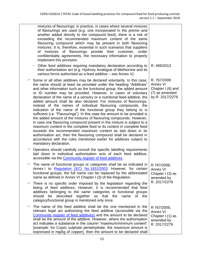|   | mixtures of flavourings; in practice, in cases where several mixtures<br>of flavourings are used (e.g. one incorporated in the premix and<br>another added directly to the compound feed), there is a risk of<br>exceeding the recommended maximum content of the same<br>flavouring compound which may be present in both flavouring<br>mixtures. It is, therefore, essential in such scenarios that suppliers<br>of flavourings provide their customer, under<br>of mixtures<br>confidentiality agreements, the necessary information to properly<br>implement this provision.                                                                                                                                                                                                                                                                                                                                                                                                                                                                                                                                         |                                                                                   |
|---|--------------------------------------------------------------------------------------------------------------------------------------------------------------------------------------------------------------------------------------------------------------------------------------------------------------------------------------------------------------------------------------------------------------------------------------------------------------------------------------------------------------------------------------------------------------------------------------------------------------------------------------------------------------------------------------------------------------------------------------------------------------------------------------------------------------------------------------------------------------------------------------------------------------------------------------------------------------------------------------------------------------------------------------------------------------------------------------------------------------------------|-----------------------------------------------------------------------------------|
|   | Other feed additives requiring mandatory declaration according to<br>their authorisation act (e.g. Hydroxy Analogue of Methionine and its<br>various forms authorised as a feed additive - see Annex V).                                                                                                                                                                                                                                                                                                                                                                                                                                                                                                                                                                                                                                                                                                                                                                                                                                                                                                                 | R. 469/2013                                                                       |
|   | Some or all other additives may be declared voluntarily. In this case,<br>the name should at least be provided under the heading "Additives"<br>and other information such as the functional group, the added amount<br>or ID number may be provided. However, in cases of voluntary<br>declaration of the name of a sensory or a nutritional feed additive, the<br>added amount shall be also declared. For mixtures of flavourings,<br>instead of the names of individual flavouring compounds, the<br>indication of the name of the functional group they belong to is<br>sufficient (i.e. "Flavourings"). In this case the amount to be provided is<br>the added amount of the mixtures of flavouring compounds. However,<br>in case one flavouring compound present in the mixture is subject to a<br>maximum content in the complete feed or its content in complete feed<br>exceeds the recommended maximum content as laid down in its<br>authorisation act, then the flavouring compound shall be declared in<br>accordance with the rules mentioned earlier for additives subject to<br>mandatory declaration. | R. 767/2009<br>Annex VI<br>Chapter I (6) and<br>(7) as amended<br>by R. 2017/2279 |
| ☞ | Operators should carefully consult the specific labelling requirements<br>laid down in individual authorisation acts of each feed additive,<br>accessible via the Community register of feed additives.                                                                                                                                                                                                                                                                                                                                                                                                                                                                                                                                                                                                                                                                                                                                                                                                                                                                                                                  |                                                                                   |
| ☞ | The name of functional groups or categories shall be as indicated in<br>Annex I to Regulation (EC) No 1831/2003. However, for certain<br>functional groups, the full name can be replaced by the abbreviated<br>name as defined in Annex VI Chapter I (3) of the Regulation.                                                                                                                                                                                                                                                                                                                                                                                                                                                                                                                                                                                                                                                                                                                                                                                                                                             | R 767/2009,<br>Annex VI<br>Chapter I (3) as<br>amended by                         |
| ☞ | There is no specific order imposed by the legislation regarding the<br>listing of feed additives. However, it is recommended that feed<br>additives belonging to the same categories or functional groups<br>described together<br>so that the<br>should<br>be<br>name<br>of the<br>category/functional group is mentioned only once.                                                                                                                                                                                                                                                                                                                                                                                                                                                                                                                                                                                                                                                                                                                                                                                    | R. 2017/2279                                                                      |
| ℺ | The name of the feed additive shall be the one mentioned in the<br>relevant legal act authorising the feed additive (accessible via the<br>Community register of feed additives) and the amount to be declared<br>shall be the amount of the additive. However, where the authorisation<br>act indicates a substance in the column "maximum/minimum content"<br>(example: for Cupric sulphate pentahydrate, the maximum amount is<br>expressed in mg/kg of copper), then the amount to be declared shall                                                                                                                                                                                                                                                                                                                                                                                                                                                                                                                                                                                                                 | R 767/2009,<br><b>Annex VI</b><br>Chapter I (1) as<br>amended by<br>R. 2017/2279  |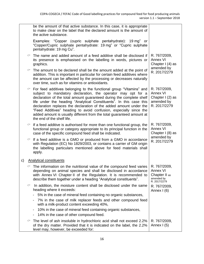|    |   | be the amount of that active substance. In this case, it is appropriate<br>to make clear on the label that the declared amount is the amount of<br>the active substance.                                                                                                                                                                                                                                                                                                                                                             |                                                                                    |
|----|---|--------------------------------------------------------------------------------------------------------------------------------------------------------------------------------------------------------------------------------------------------------------------------------------------------------------------------------------------------------------------------------------------------------------------------------------------------------------------------------------------------------------------------------------|------------------------------------------------------------------------------------|
|    |   | Examples: "Copper (cupric sulphate pentahydrate): 19 mg" or<br>"Copper/Cupric sulphate pentahydrate: 19 mg" or "Cupric sulphate<br>pentahydrate: 19 mg Cu".                                                                                                                                                                                                                                                                                                                                                                          |                                                                                    |
|    | ℺ | The name and added amount of a feed additive shall be disclosed if<br>its presence is emphasised on the labelling in words, pictures or<br>graphics.                                                                                                                                                                                                                                                                                                                                                                                 | R. 767/2009,<br>Annex VI<br>Chapter I (4) as                                       |
|    |   | The amount to be declared shall be the amount added at the point of<br>addition. This is important in particular for certain feed additives where<br>the amount can be affected by the processing or decreases naturally<br>over time, such as for vitamins or antioxidants.                                                                                                                                                                                                                                                         | amended by<br>R. 2017/2279                                                         |
|    | ☞ | For feed additives belonging to the functional group "Vitamins" and<br>subject to mandatory declaration, the operator may opt for a<br>declaration of the total amount guaranteed during the complete shelf<br>life under the heading "Analytical Constituents". In this case this<br>declaration replaces the declaration of the added amount under the<br>"Feed Additives" heading to avoid confusion, especially since the<br>added amount is usually different from the total guaranteed amount at<br>the end of the shelf life. | R. 767/2009,<br><b>Annex VI</b><br>Chapter $I(2)$ as<br>amended by<br>R. 2017/2279 |
|    |   | If a feed additive is authorised for more than one functional group, the<br>functional group or category appropriate to its principal function in the<br>case of the specific compound feed shall be indicated.                                                                                                                                                                                                                                                                                                                      | R. 767/2009,<br><b>Annex VI</b><br>Chapter I (8) as                                |
|    | ℺ | If a feed additive is a GMO or produced from a GMO in accordance<br>with Regulation (EC) No 1829/2003, or contains a carrier of GM origin<br>the labelling particulars mentioned above for feed materials shall<br>apply.                                                                                                                                                                                                                                                                                                            | amended by<br>R. 2017/2279                                                         |
| c) |   | <b>Analytical constituents</b>                                                                                                                                                                                                                                                                                                                                                                                                                                                                                                       |                                                                                    |
|    |   | $\circ$ The information on the nutritional value of the compound feed varies<br>depending on animal species and shall be disclosed in accordance<br>with Annex VI Chapter II of the Regulation. It is recommended to<br>describe them together under a heading "Analytical constituents".                                                                                                                                                                                                                                            | R. 767/2009,<br>Annex VI<br>Chapter II as<br>amended by<br>R. 2017/2279            |
|    | ℺ | In addition, the moisture content shall be disclosed under the same<br>heading where it exceeds:<br>5% in the case of mineral feed containing no organic substances,                                                                                                                                                                                                                                                                                                                                                                 | R. 767/2009,<br>Annex $(6)$                                                        |
|    |   | 7% in the case of milk replacer feeds and other compound feed<br>with a milk-product content exceeding 40%,                                                                                                                                                                                                                                                                                                                                                                                                                          |                                                                                    |
|    |   | 10% in the case of mineral feed containing organic substances,<br>-                                                                                                                                                                                                                                                                                                                                                                                                                                                                  |                                                                                    |
|    |   | 14% in the case of other compound feed.                                                                                                                                                                                                                                                                                                                                                                                                                                                                                              |                                                                                    |
|    | ☞ | The level of ash insoluble in hydrochloric acid shall not exceed 2.2%<br>of the dry matter. Provided that it is indicated on the label, the 2.2%<br>level may, however, be exceeded for:                                                                                                                                                                                                                                                                                                                                             | R. 767/2009,<br>Annex I (5)                                                        |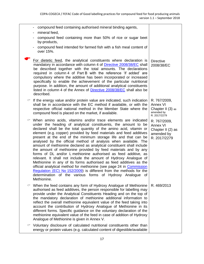|   | compound feed containing authorised mineral binding agents,                                                                                                                                                                                                                                                                                                                                                                                                                                                                                                                                                                                                                                                                                                                                                                                                                                                                                                                                          |                                                                             |
|---|------------------------------------------------------------------------------------------------------------------------------------------------------------------------------------------------------------------------------------------------------------------------------------------------------------------------------------------------------------------------------------------------------------------------------------------------------------------------------------------------------------------------------------------------------------------------------------------------------------------------------------------------------------------------------------------------------------------------------------------------------------------------------------------------------------------------------------------------------------------------------------------------------------------------------------------------------------------------------------------------------|-----------------------------------------------------------------------------|
|   | mineral feed,<br>-<br>compound feed containing more than 50% of rice or sugar beet<br>by-products,                                                                                                                                                                                                                                                                                                                                                                                                                                                                                                                                                                                                                                                                                                                                                                                                                                                                                                   |                                                                             |
|   | compound feed intended for farmed fish with a fish meal content of<br>over 15%.                                                                                                                                                                                                                                                                                                                                                                                                                                                                                                                                                                                                                                                                                                                                                                                                                                                                                                                      |                                                                             |
|   | For dietetic feed, the analytical constituents where declaration is<br>mandatory in accordance with column 4 of Directive 2008/38/EC shall<br>be described together with the total amounts. The declarations<br>required in column 4 of Part B with the reference 'if added' are<br>compulsory where the additive has been incorporated or increased<br>specifically to enable the achievement of the particular nutritional<br>purpose. In addition, the amount of additional analytical constituents<br>listed in column 4 of the Annex of Directive 2008/38/EC shall also be<br>described.                                                                                                                                                                                                                                                                                                                                                                                                        | <b>Directive</b><br>2008/38/EC                                              |
|   | If the energy value and/or protein value are indicated, such indication<br>shall be in accordance with the EC method if available, or with the<br>respective official national method in the Member State where the<br>compound feed is placed on the market, if available.                                                                                                                                                                                                                                                                                                                                                                                                                                                                                                                                                                                                                                                                                                                          | R. 767/2009,<br>Annex VI<br>Chapter II (3) as<br>amended by<br>R. 2017/2279 |
| ∽ | When amino acids, vitamins and/or trace elements are indicated<br>under the heading of analytical constituents, the amount to be<br>declared shall be the total quantity of the amino acid, vitamin or<br>element (e.g. copper) provided by feed materials and feed additives<br>present at the end of the minimum storage life and that can be<br>analysed by the official method of analysis when available. The<br>amount of methionine declared as analytical constituent shall include<br>the amount of methionine provided by feed materials and by any<br>forms of DL and/or L methionine authorised as feed additive, as<br>relevant. It shall not include the amount of Hydroxy Analogue of<br>Methionine in any of its forms authorised as feed additives as the<br>official analytical method for methionine (see page 24 in Commission<br>Regulation (EC) No 152/2009) is different from the methods for the<br>determination of the various forms of Hydroxy Analogue of<br>Methionine. | R. 767/2009,<br>Annex VI<br>Chapter II (2) as<br>amended by<br>R. 2017/2279 |
| ℺ | When the feed contains any form of Hydroxy Analogue of Methionine<br>authorised as feed additives, the person responsible for labelling may<br>provide under the Analytical Constituents Heading and on the top of<br>the mandatory declaration of methionine additional information to<br>reflect the overall methionine equivalent value of the feed taking into<br>account the contribution of Hydroxy Analogue of Methionine in its<br>different forms. Specific guidance on the voluntary declaration of the<br>methionine equivalent value of the feed in case of addition of Hydroxy<br>Analogue of Methionine is given in Annex V.                                                                                                                                                                                                                                                                                                                                                           | R. 469/2013                                                                 |
|   | $\degree$ Voluntary disclosure of calculated nutritional constituents other than<br>energy or protein values (e.g. calculated content of digestible/available                                                                                                                                                                                                                                                                                                                                                                                                                                                                                                                                                                                                                                                                                                                                                                                                                                        |                                                                             |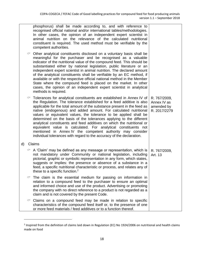|    |   | phosphorus) shall be made according to, and with reference to<br>recognised official national and/or international tables/methodologies.<br>In other cases, the opinion of an independent expert scientist in<br>animal nutrition on the relevance of the calculated nutritional<br>constituent is required. The used method must be verifiable by the<br>competent authorities.                                                                                                                                                                                                                                                                                                                                              |                                                           |
|----|---|-------------------------------------------------------------------------------------------------------------------------------------------------------------------------------------------------------------------------------------------------------------------------------------------------------------------------------------------------------------------------------------------------------------------------------------------------------------------------------------------------------------------------------------------------------------------------------------------------------------------------------------------------------------------------------------------------------------------------------|-----------------------------------------------------------|
|    | ℺ | Other analytical constituents disclosed on a voluntary basis shall be<br>meaningful for the purchaser and be recognised as a valuable<br>indicator of the nutritional value of the compound feed. This should be<br>substantiated either by national legislation, public literature or an<br>independent expert scientist in animal nutrition. The declared amount<br>of the analytical constituents shall be verifiable by an EC method, if<br>available or with the respective official national method in the Member<br>State where the compound feed is placed on the market. In other<br>cases, the opinion of an independent expert scientist in analytical<br>methods is required.                                     |                                                           |
|    | ℺ | Tolerances for analytical constituents are established in Annex IV of<br>the Regulation. The tolerance established for a feed additive is also<br>applicable for the total amount of the substance present in the feed as<br>native (endogenous) and added amount. For calculated nutritional<br>values or equivalent values, the tolerance to be applied shall be<br>determined on the basis of the tolerances applying to the different<br>analytical constituents and feed additives on which the nutritional or<br>equivalent value is calculated. For analytical constituents not<br>mentioned in Annex IV the competent authority may consider<br>individual tolerances with regard to the accuracy of the declaration. | R. 767/2009,<br>Annex IV as<br>amended by<br>R. 2017/2279 |
| d) |   | Claims                                                                                                                                                                                                                                                                                                                                                                                                                                                                                                                                                                                                                                                                                                                        |                                                           |
|    |   | $\circ$ A 'Claim' may be defined as any message or representation, which is<br>not mandatory under Community or national legislation, including<br>pictorial, graphic or symbolic representation in any form, which states,<br>suggests or implies: the presence or absence of a substance in a<br>feed, a specific nutritional characteristic or process, and relates any of<br>these to a specific function. <sup>2</sup>                                                                                                                                                                                                                                                                                                   | R. 767/2009,<br>Art. 13                                   |
|    |   | The claim is the essential medium for passing on information in<br>relation to a compound feed to the purchaser to ensure an optimal<br>and informed choice and use of the product. Advertising or promoting<br>the company with no direct reference to a product is not regarded as a<br>claim and is not covered by the present Code.                                                                                                                                                                                                                                                                                                                                                                                       |                                                           |
|    | ☞ | Claims on a compound feed may be made in relation to specific<br>characteristics of the compound feed itself or, to the presence of one<br>or more feed materials / feed additives or to a function thereof.                                                                                                                                                                                                                                                                                                                                                                                                                                                                                                                  |                                                           |

 $^2$  Inspired from the definition of claims laid down in Regulation (EC) No 1924/2006 on nutritional and health claims made on food

 $\overline{\phantom{a}}$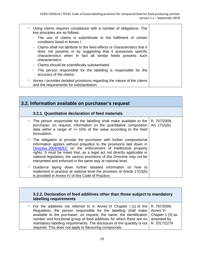| $\circ$ Using claims requires compliance with a number of obligations. The<br>key principles are as follows:                                                                                                                   |
|--------------------------------------------------------------------------------------------------------------------------------------------------------------------------------------------------------------------------------|
| - The use of claims is subordinate to the fulfilment of certain<br>conditions listed in Annex L                                                                                                                                |
| - Claims shall not attribute to the feed effects or characteristics that it<br>does not possess or by suggesting that it possesses specific<br>characteristics when in fact all similar feeds possess such<br>characteristics. |
| - Claims should be scientifically substantiated.                                                                                                                                                                               |
| - The person responsible for the labelling is responsible for the<br>accuracy of the claims.                                                                                                                                   |
| $\degree$ Annex I provides detailed provisions regarding the nature of the claims<br>and the requirements for substantiation.                                                                                                  |

<span id="page-20-1"></span><span id="page-20-0"></span>

| 3.2. Information available on purchaser's request |                                                                                                                                                                                                                                                                                                                                                                                                                                                  |                                 |
|---------------------------------------------------|--------------------------------------------------------------------------------------------------------------------------------------------------------------------------------------------------------------------------------------------------------------------------------------------------------------------------------------------------------------------------------------------------------------------------------------------------|---------------------------------|
|                                                   | 3.2.1. Quantitative declaration of feed materials                                                                                                                                                                                                                                                                                                                                                                                                |                                 |
|                                                   | $\degree$ The person responsible for the labelling shall make available to the<br>purchaser, on request, information on the quantitative composition<br>data within a range of $+/-15\%$ of the value according to the feed<br>formulation.                                                                                                                                                                                                      | R. 767/2009,<br>Art. $17(2)(b)$ |
|                                                   | $\degree$ The obligation to provide the purchaser with further compositional<br>information applies without prejudice to the provisions laid down in<br>Directive 2004/48/EC on the enforcement of intellectual property<br>rights. It must be noted that, as a legal act not directly applicable in<br>national legislation, the various provisions of this Directive may not be<br>interpreted and enforced in the same way at national level. |                                 |
|                                                   | $\degree$ Guidance laying down further detailed information on how to<br>implement in practice at national level the provision of Article 17(2)(b)<br>is provided in Annex IV of this Code of Practice.                                                                                                                                                                                                                                          |                                 |

#### <span id="page-20-2"></span>**3.2.2. Declaration of feed additives other than those subject to mandatory labelling requirements**

| $\degree$ For the additives not referred to in Annex VI Chapter I(1) of the R. 767/2009,     |  |
|----------------------------------------------------------------------------------------------|--|
| Regulation, the person responsible for the labelling shall make   Annex VI                   |  |
| available to the purchaser, on request, the name, the identification Chapter 1 (5) as        |  |
| number and functional group of feed additives for which there are no   amended by            |  |
| mandatory labelling requirements. The disclosure of the quantity is not $\vert$ R. 2017/2279 |  |
| required. This does not apply to flavouring compounds.                                       |  |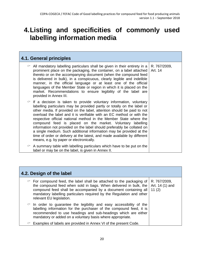# <span id="page-21-0"></span>**4.Listing and specificities of commonly used labelling information media**

<span id="page-21-1"></span>

| 4.1. General principles                                                                                                                                                                                                                                                                                                                                                                                                                                                                                                                                                                                                                                                                                               |                         |  |
|-----------------------------------------------------------------------------------------------------------------------------------------------------------------------------------------------------------------------------------------------------------------------------------------------------------------------------------------------------------------------------------------------------------------------------------------------------------------------------------------------------------------------------------------------------------------------------------------------------------------------------------------------------------------------------------------------------------------------|-------------------------|--|
| All mandatory labelling particulars shall be given in their entirety in a<br>prominent place on the packaging, the container, on a label attached<br>thereto or on the accompanying document (when the compound feed<br>is delivered in bulk), in a conspicuous, clearly legible and indelible<br>manner, in the official language or at least one of the official<br>languages of the Member State or region in which it is placed on the<br>market. Recommendations to ensure legibility of the label are<br>provided in Annex III.                                                                                                                                                                                 | R. 767/2009,<br>Art. 14 |  |
| $\degree$ If a decision is taken to provide voluntary information, voluntary<br>labelling particulars may be provided partly or totally on the label or<br>other media. If provided on the label, attention should be paid to not<br>overload the label and it is verifiable with an EC method or with the<br>respective official national method in the Member State where the<br>compound feed is placed on the market. Voluntary labelling<br>information not provided on the label should preferably be collated on<br>a single medium. Such additional information may be provided at the<br>time of order or delivery at the latest, and made available by different<br>means, e.g. by paper or electronically. |                         |  |
| A summary table with labelling particulars which have to be put on the<br>label or may be on the label, is given in Annex II.                                                                                                                                                                                                                                                                                                                                                                                                                                                                                                                                                                                         |                         |  |

<span id="page-21-2"></span>

| 4.2. Design of the label                                                                                                                                                                                                                                                                                                |                                          |  |
|-------------------------------------------------------------------------------------------------------------------------------------------------------------------------------------------------------------------------------------------------------------------------------------------------------------------------|------------------------------------------|--|
| $\degree$ For compound feed, the label shall be attached to the packaging of<br>the compound feed when sold in bags. When delivered in bulk, the<br>compound feed shall be accompanied by a document containing all<br>mandatory labelling particulars required by the Regulation and other<br>relevant EU legislation. | R. 767/2009,<br>Art. 14 (1) and<br>11(2) |  |
| $\degree$ In order to guarantee the legibility and easy accessibility of the<br>labelling information for the purchaser of the compound feed, it is<br>recommended to use headings and sub-headings which are either<br>mandatory or added on a voluntary basis where appropriate.                                      |                                          |  |
| Examples of labels are provided in Annex VI of the present Code.                                                                                                                                                                                                                                                        |                                          |  |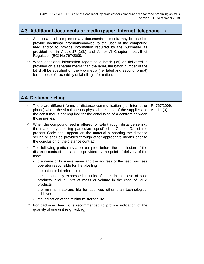<span id="page-22-0"></span>

| 4.3. Additional documents or media (paper, internet, telephone) |                                                                                                                                                                                                                                                                                                                         |  |  |
|-----------------------------------------------------------------|-------------------------------------------------------------------------------------------------------------------------------------------------------------------------------------------------------------------------------------------------------------------------------------------------------------------------|--|--|
|                                                                 | $\degree$ Additional and complementary documents or media may be used to<br>provide additional information/advice to the user of the compound<br>feed and/or to provide information required by the purchaser as<br>provided for in Article 17 (2)(b) and Annex VI Chapter I, par. 5 of<br>Regulation (EC) No 767/2009. |  |  |
|                                                                 | $\degree$ When additional information regarding a batch (lot) as delivered is<br>provided on a separate media than the label, the batch number of the<br>lot shall be specified on the two media (i.e. label and second format)<br>for purpose of traceability of labelling information.                                |  |  |

<span id="page-22-1"></span>

| 4.4. Distance selling |                                                                                                                                                                                                                                                                                                                                               |                             |  |
|-----------------------|-----------------------------------------------------------------------------------------------------------------------------------------------------------------------------------------------------------------------------------------------------------------------------------------------------------------------------------------------|-----------------------------|--|
| ☞                     | There are different forms of distance communication (i.e. Internet or<br>phone) where the simultaneous physical presence of the supplier and<br>the consumer is not required for the conclusion of a contract between<br>those parties.                                                                                                       | R. 767/2009,<br>Art. 11 (3) |  |
|                       | $\circ$ When the compound feed is offered for sale through distance selling,<br>the mandatory labelling particulars specified in Chapter 3.1 of the<br>present Code shall appear on the material supporting the distance<br>selling or shall be provided through other appropriate means prior to<br>the conclusion of the distance contract. |                             |  |
| ℺                     | The following particulars are exempted before the conclusion of the<br>distance contract but shall be provided by the point of delivery of the<br>feed:                                                                                                                                                                                       |                             |  |
|                       | - the name or business name and the address of the feed business<br>operator responsible for the labelling                                                                                                                                                                                                                                    |                             |  |
|                       | the batch or lot reference number                                                                                                                                                                                                                                                                                                             |                             |  |
|                       | the net quantity expressed in units of mass in the case of solid<br>products, and in units of mass or volume in the case of liquid<br>products                                                                                                                                                                                                |                             |  |
|                       | the minimum storage life for additives other than technological<br>additives                                                                                                                                                                                                                                                                  |                             |  |
|                       | the indication of the minimum storage life.                                                                                                                                                                                                                                                                                                   |                             |  |
| ℺                     | For packaged feed, it is recommended to provide indication of the<br>quantity of one unit (e.g. kg/bag).                                                                                                                                                                                                                                      |                             |  |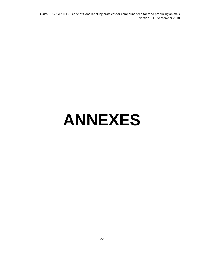COPA-COGECA / FEFAC Code of Good labelling practices for compound feed for food producing animals version 1.1 – September 2018

# <span id="page-23-0"></span>**ANNEXES**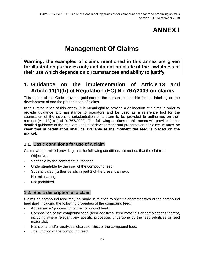# **ANNEX I**

# **Management Of Claims**

<span id="page-24-0"></span>**Warning: the examples of claims mentioned in this annex are given for illustration purposes only and do not preclude of the lawfulness of their use which depends on circumstances and ability to justify.** 

### <span id="page-24-1"></span>**1. Guidance on the implementation of Article 13 and Article 11(1)(b) of [Regulation \(EC\) No](http://eur-lex.europa.eu/LexUriServ/LexUriServ.do?uri=OJ:L:2009:229:0001:0028:EN:PDF) 767/2009 on claims**

This annex of the Code provides guidance to the person responsible for the labelling on the development of and the presentation of claims.

In this introduction of this annex, it is meaningful to provide a delineation of claims in order to provide guidance and assistance to operators and be used as a reference tool for the submission of the scientific substantiation of a claim to be provided to authorities on their request (Art. 13(1)(b) of R. 767/2009). The following sections of this annex will provide further detailed guidance of the relevant aspect of development and presentation of claims. **It must be clear that substantiation shall be available at the moment the feed is placed on the market.**

#### <span id="page-24-2"></span>**1.1. Basic conditions for use of a claim**

Claims are permitted providing that the following conditions are met so that the claim is:

- Objective;
- Verifiable by the competent authorities;
- Understandable by the user of the compound feed;
- Substantiated (further details in part 2 of the present annex);
- Not misleading;
- <span id="page-24-3"></span>Not prohibited.

#### **1.2. Basic description of a claim**

Claims on compound feed may be made in relation to specific characteristics of the compound feed itself including the following properties of the compound feed:

- Appearance / processing of the compound feed;
- Composition of the compound feed (feed additives, feed materials or combinations thereof, including where relevant any specific processes undergone by the feed additives or feed materials);
- Nutritional and/or analytical characteristics of the compound feed;
- The function of the compound feed.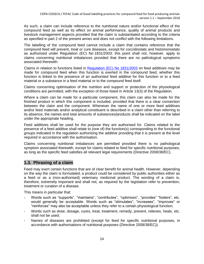As such, a claim can include reference to the nutritional nature and/or functional effect of the compound feed as well as its effect on animal performance, quality of animal products and livestock management aspects provided that the claim is substantiated according to the criteria as specified in part 2 of the present annex and does not conflict with the following limitations.

The labelling of the compound feed cannot include a claim that contains reference that the compound feed will prevent, treat or cure diseases, except for coccidiostats and histomonostats as authorised under [Regulation \(EC\) No](http://eur-lex.europa.eu/LexUriServ/LexUriServ.do?uri=CONSLEG:2003R1831:20090602:EN:PDF) 1831/2003; this point shall not, however, apply to claims concerning nutritional imbalances provided that there are no pathological symptoms associated therewith.

Claims in relation to functions listed in [Regulation \(EC\) No](http://eur-lex.europa.eu/legal-content/EN/TXT/PDF/?uri=CELEX:02003R1831-20151230&qid=1465241123530&from=EN) 1831/2003 on feed additives may be made for compound feed when this function is exerted in the compound feed, whether this function is linked to the presence of an authorised feed additive for this function or to a feed material or a substance in a feed material or to the compound feed itself.

Claims concerning optimisation of the nutrition and support or protection of the physiological conditions are permitted, with the exception of those listed in Article 13(3) of the Regulation.

Where a claim can be made for a particular component, this claim can also be made for the finished product in which this component is included, provided that there is a clear connection between the claim and the component. Whenever the name of one or more feed additives and/or feed materials and/or analytical constituent is described in a claim other than referring to its absence, the names and total amounts of substances/products shall be indicated on the label under the appropriate heading.

Feed additives shall be used for the purpose they are authorised for. Claims related to the presence of a feed additive shall relate to (one of) the function(s) corresponding to the functional groups indicated in the regulation authorising the additive providing that it is present at the level required in accordance with the authorisation.

Claims concerning nutritional imbalances are permitted provided there is no pathological symptom associated therewith, except for claims related to feed for specific nutritional purposes, as long as the specific feed satisfies all relevant legal requirements (Directive 2008/38/EC).

### <span id="page-25-0"></span>**1.3. Phrasing of a claim**

Feed may exert certain functions that are of clear benefit for animal health. However, depending on the way the claim is formulated, a product could be considered by public authorities either as a feed or as a (non-authorised) veterinary medicinal product. The wording of a claim is, therefore, extremely important and shall not, as required by the legislation refer to prevention, treatment or curation of a disease.

This means in particular that:

- Words such as "supports", "maintains", "contributes", "optimises", "provides" "fosters", etc. would generally be acceptable. Words such as "stimulates", "increases", "improves" or "reinforces" may also be acceptable unless they refer to a certain physiological function;
- Words such as dose, dosage, cures, treat, treatment, remedy, prevent, relieves, heals, etc. shall not be used;
- Names of diseases are prohibited (except for feed for specific nutritional purposes, in accordance with authorisations of nutritional purposes (Directive 2008/38/EC)).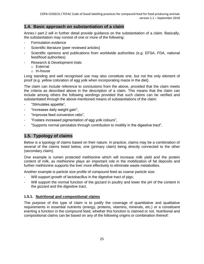#### <span id="page-26-0"></span>**1.4. Basic approach on substantiation of a claim**

Annex I part 2 will in further detail provide guidance on the substantiation of a claim. Basically, the substantiation may consist of one or more of the following:

- Formulation evidence
- Scientific literature (peer reviewed articles)
- Scientific opinions and publications from worldwide authorities (e.g. EFSA, FDA, national feed/food authorities)
- Research & Development trials
	- o External
	- o In-house

Long standing and well recognised use may also constitute one, but not the only element of proof (e.g. yellow coloration of egg yolk when incorporating maize in the diet).

The claim can include reference to conclusions from the above, provided that the claim meets the criteria as described above in the description of a claim. This means that the claim can include among others the following wordings provided that such claims can be verified and substantiated through the above-mentioned means of substantiations of the claim:

- "Stimulates appetite",
- "Increases daily weight gain",
- "Improves feed conversion ratio",
- "Fosters increased pigmentation of egg yolk colours",
- <span id="page-26-1"></span>"Supports normal peristalsis through contribution to motility in the digestive tract".

#### **1.5. Typology of claims**

Below is a typology of claims based on their nature. In practice, claims may be a combination of several of the claims listed below, one (primary claim) being directly connected to the other (secondary claim).

One example is rumen protected methionine which will increase milk yield and the protein content of milk, as methionine plays an important role in the mobilization of fat deposits and further methionine supports the liver more effectively to eliminate waste metabolites.

Another example is particle size profile of compound feed as coarse particle size:

- Will support growth of lactobacillus in the digestive tract of pigs;
- Will support the normal function of the gizzard in poultry and lower the pH of the content in the gizzard and the digestive tract.

#### <span id="page-26-2"></span>**1.5.1. Nutritional and compositional claims**

The purpose of this type of claim is to justify the coverage of quantitative and qualitative requirements in essential nutrients (energy, proteins, vitamins, minerals, etc.) or a constituent exerting a function in the compound feed, whether this function is claimed or not. Nutritional and compositional claims can be based on any of the following origins or combination thereof: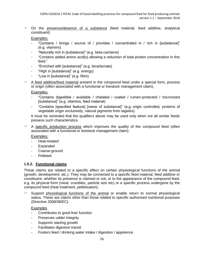$\degree$  On the presence/absence of a substance (feed material, feed additive, analytical constituent)

Examples:

- "Contains / brings / source of / provides / concentrated in / rich in [substance]" (e.g. vitamins)
- "Naturally rich in [substance]" (e.g. beta-carotene)
- "Contains added amino acid(s) allowing a reduction of total protein concentration in this feed."
- "Enriched with [substance]" (e.g. bicarbonate)
- "High in [substance]" (e.g. energy)
- "Low in [substance]" (e.g. fibre)
- $\degree$  A feed additive/feed material present in the compound feed under a special form, process or origin (often associated with a functional or livestock management claim).

Examples:

- "Contains digestible / available / chelated / coated / rumen-protected / micronized [substance]" (e.g. vitamins, feed material)
- "Contains [specified feature] [name of substance]" (e.g. origin controlled, proteins of vegetable origin exclusively, natural pigments from tagetes).

It must be reminded that the qualifiers above may be used only when not all similar feeds possess such characteristics.

 $\degree$  A specific production process which improves the quality of the compound feed (often associated with a functional or livestock management claim).

Examples:

- Heat-treated
- Expanded
- Coarse-ground
- Pelleted

#### <span id="page-27-0"></span>**1.5.2. Functional claims**

These claims are related to a specific effect on certain physiological functions of the animal (growth, development, etc.). They may be connected to a specific feed material, feed additive or constituent, whether its presence is claimed or not, or to the appearance of the compound feed, e.g. its physical form (meal, crumbles, particle size etc) or a specific process undergone by the compound feed (heat treatment, pelletisation).

 Support physiological functions of the animal or enable return to normal physiological status. These are claims other than those related to specific authorised nutritional purposes (Directive 2008/38/EC).

**Examples** 

- Contributes to good liver function
- Preserves udder integrity
- Supports starting growth
- Facilitates digestive transit
- Fosters feed / drinking water intake / digestion / appetence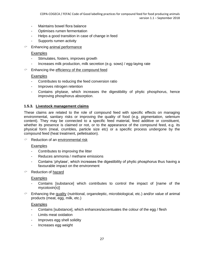- Maintains bowel flora balance
- Optimises rumen fermentation
- Helps a good transition in case of change in feed
- Supports rumen activity
- $\degree$  Enhancing animal performance

#### Examples

- Stimulates, fosters, improves growth
- Increases milk production, milk secretion (e.g. sows) / egg-laying rate
- $\degree$  Enhancing the efficiency of the compound feed

#### **Examples**

- Contributes to reducing the feed conversion ratio
- Improves nitrogen retention
- Contains phytase, which increases the digestibility of phytic phosphorus, hence improving phosphorus absorption.

#### <span id="page-28-0"></span>**1.5.3. Livestock management claims**

These claims are related to the role of compound feed with specific effects on managing environmental, sanitary risks or improving the quality of food (e.g. pigmentation, selenium content). They may be connected to a specific feed material, feed additive or constituent, whether its presence is claimed or not, or to the appearance of the compound feed, e.g. its physical form (meal, crumbles, particle size etc) or a specific process undergone by the compound feed (heat treatment, pelletisation).

 $\degree$  Reduction of an environmental risk

#### Examples

- Contributes to improving the litter
- Reduces ammonia / methane emissions
- Contains 'phytase', which increases the digestibility of phytic phosphorus thus having a favourable impact on the environment

#### $\degree$  Reduction of hazard

#### Examples

- Contains [substance] which contributes to control the impact of [name of the mycotoxin(s)]
- $\degree$  Enhancing the quality (nutritional, organoleptic, microbiological, etc.) and/or value of animal products (meat, egg, milk, etc.)

#### **Examples**

- Contains [substance], which enhances/accentuates the colour of the egg / flesh
- Limits meat oxidation
- Improves egg shell solidity
- Increases egg weight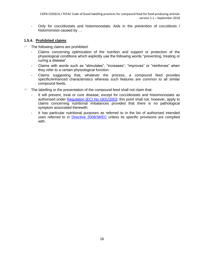- Only for coccidiostats and histomonostats: Aids in the prevention of coccidiosis / histomonosis caused by …

#### <span id="page-29-0"></span>**1.5.4. Prohibited claims**

- $\degree$  The following claims are prohibited:
	- Claims concerning optimization of the nutrition and support or protection of the physiological conditions which explicitly use the following words "preventing, treating or curing a disease".
	- Claims with words such as "stimulates", "increases", "improves" or "reinforces" when they refer to a certain physiological function.
	- Claims suggesting that, whatever the process, a compound feed provides specific/enhanced characteristics whereas such features are common to all similar compound feeds.
- $\degree$  The labelling or the presentation of the compound feed shall not claim that:
	- It will prevent, treat or cure disease, except for coccidiostats and histomonostats as authorised under [Regulation \(EC\) No](http://eur-lex.europa.eu/legal-content/EN/TXT/PDF/?uri=CELEX:02003R1831-20151230&qid=1465241123530&from=EN) 1831/2003; this point shall not, however, apply to claims concerning nutritional imbalances provided that there is no pathological symptom associated therewith.
	- It has particular nutritional purposes as referred to in the list of authorised intended uses referred to in [Directive 2008/38/EC](http://eur-lex.europa.eu/legal-content/EN/TXT/PDF/?uri=CELEX:02008L0038-20141112&qid=1465240992785&from=EN) unless its specific provisions are complied with.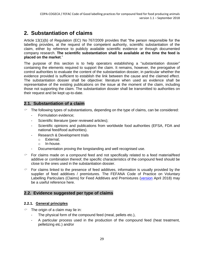### <span id="page-30-0"></span>**2. Substantiation of claims**

Article 13(1)(b) of Regulation (EC) No 767/2009 provides that "the person responsible for the labelling provides, at the request of the competent authority, scientific substantiation of the claim, either by reference to publicly available scientific evidence or through documented company research. **The scientific substantiation shall be available at the time the feed is placed on the market**."

The purpose of this section is to help operators establishing a "substantiation dossier" containing the elements required to support the claim. It remains, however, the prerogative of control authorities to evaluate the content of the substantiation dossier, in particular whether the evidence provided is sufficient to establish the link between the cause and the claimed effect. The substantiation dossier shall be objective: literature when used as evidence shall be representative of the existing publications on the issue at the moment of the claim, including those not supporting the claim. The substantiation dossier shall be transmitted to authorities on their request and be kept up-to-date.

#### <span id="page-30-1"></span>**2.1. Substantiation of a claim**

- $\degree$  The following types of substantiations, depending on the type of claims, can be considered:
	- Formulation evidence;
	- Scientific literature (peer reviewed articles);
	- Scientific opinions and publications from worldwide food authorities (EFSA, FDA and national feed/food authorities).
	- Research & Development trials
		- o External;
		- o In-house.
	- Documentation proving the longstanding and well recognised use.
- $\degree$  For claims made on a compound feed and not specifically related to a feed material/feed additive or combination thereof, the specific characteristics of the compound feed should be close to the ones used in the substantiation dossier.
- $\degree$  For claims linked to the presence of feed additives, information is usually provided by the supplier of feed additives / premixtures. The FEFANA Code of Practice on Voluntary Labelling Particulars (Claims) for Feed Additives and Premixtures [\(version](http://fefana.org/eu-legislation/tools/code-of-practice-claims/) April 2018) may be a useful reference here.

#### <span id="page-30-2"></span>**2.2. Evidence suggested per type of claims**

#### <span id="page-30-3"></span>**2.2.1. General principles**

- $\degree$  The origin of a claim may lie in:
	- The physical form of the compound feed (meal, pellets etc.),
	- A particular process used in the production of the compound feed (heat treatment, pelletizing etc.) and/or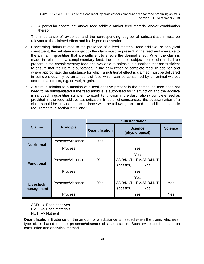- A particular constituent and/or feed additive and/or feed material and/or combination thereof
- $\degree$  The importance of evidence and the corresponding degree of substantiation must be relevant to the claimed effect and its degree of assertion.
- $\degree$  Concerning claims related to the presence of a feed material, feed additive, or analytical constituent, the substance subject to the claim must be present in the feed and available to the animal in quantities that are sufficient to ensure the claimed effect. When the claim is made in relation to a complementary feed, the substance subject to the claim shall be present in the complementary feed and available to animals in quantities that are sufficient to ensure that the claim is substantial in the daily ration or complete feed. In addition and where appropriate, the substance for which a nutritional effect is claimed must be delivered in sufficient quantity by an amount of feed which can be consumed by an animal without detrimental effects, e.g. on weight gain.
- $\degree$  A claim in relation to a function of a feed additive present in the compound feed does not need to be substantiated if the feed additive is authorised for this function and the additive is included in quantities sufficient to exert its function in the daily ration / complete feed as provided in the feed additive authorisation. In other circumstances, the substantiation of a claim should be provided in accordance with the following table and the additional specific requirements in section 2.2.2 and 2.2.3.

|                                |                  | <b>Substantiation</b> |                                                                |                |
|--------------------------------|------------------|-----------------------|----------------------------------------------------------------|----------------|
| <b>Claims</b>                  | <b>Principle</b> | Quantification        | <b>Science</b><br>(physiological)                              | <b>Science</b> |
|                                | Presence/Absence | <b>Yes</b>            |                                                                |                |
| <b>Nutritional</b>             | <b>Process</b>   |                       | Yes                                                            |                |
| <b>Functional</b>              | Presence/Absence | Yes                   | Yes<br>ADD/NUT<br><b>FM/ADD/NUT</b><br>(dossier)<br><b>Yes</b> |                |
|                                | Process          |                       | Yes                                                            |                |
| <b>Livestock</b><br>management | Presence/Absence | Yes                   | Yes<br><b>ADD/NUT</b><br>FM/ADD/NUT<br>Yes<br>(dossier)        | Yes            |
|                                | Process          |                       | Yes                                                            | Yes            |

ADD --> Feed additives

FM --> Feed materials

NUT --> Nutrient

**Quantification**: Evidence on the amount of a substance is needed when the claim, whichever type of, is based on the presence/absence of a substance. Such evidence is based on formulation and analytical method.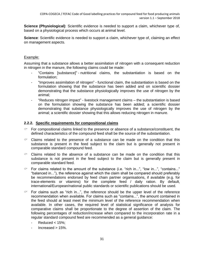**Science (Physiological)**: Scientific evidence is needed to support a claim, whichever type of, based on a physiological process which occurs at animal level.

**Science**: Scientific evidence is needed to support a claim, whichever type of, claiming an effect on management aspects.

#### Example:

Assuming that a substance allows a better assimilation of nitrogen with a consequent reduction in nitrogen in the manure, the following claims could be made:

- "Contains [substance]" nutritional claims, the substantiation is based on the formulation;
- "Improves assimilation of nitrogen" functional claim, the substantiation is based on the formulation showing that the substance has been added and on scientific dossier demonstrating that the substance physiologically improves the use of nitrogen by the animal;
- "Reduces nitrogen impact" livestock management claims the substantiation is based on the formulation showing the substance has been added; a scientific dossier demonstrating that substance physiologically improves the use of nitrogen by the animal; a scientific dossier showing that this allows reducing nitrogen in manure.

#### <span id="page-32-0"></span>**2.2.2. Specific requirements for compositional claims**

- $\degree$  For compositional claims linked to the presence or absence of a substance/constituent, the defined characteristics of the compound feed shall be the source of the substantiation.
- $\degree$  Claims related to the presence of a substance can be made on the condition that this substance is present in the feed subject to the claim but is generally not present in comparable standard compound feed.
- $\degree$  Claims related to the absence of a substance can be made on the condition that this substance is not present in the feed subject to the claim but is generally present in comparable standard feed.
- $\degree$  For claims related to the amount of the substance (i.e. "rich in...", "low in...", "contains..." "balanced in..."), the reference against which the claim shall be compared should preferably be recommendations endorsed by feed chain partner organisations, if available (e.g. for trace-elements or vitamins) for the complete feed / daily ration. By default, international/European/national public standards or scientific publications should be used.
- $\degree$  For claims such as "rich in...", the reference should be the upper level of the reference recommendation when available. For claims such as "contains...", the amount contained in the feed should at least meet the minimum level of the reference recommendation when available. In other cases, the required level of statistical significance of analysis for comparative claims shall be proportionate to the degree of assertion of the claim. The following percentages of reduction/increase when compared to the incorporation rate in a regular standard compound feed are recommended as a general guidance:
	- Reduced  $<$  15%;
	- Increased > 15%.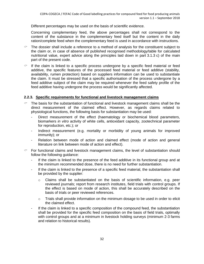Different percentages may be used on the basis of scientific evidence.

Concerning complementary feed, the above percentages shall not correspond to the content of the substance in the complementary feed itself but the content in the daily ration/complete feed when the complementary feed is used in accordance with instructions.

- The dossier shall include a reference to a method of analysis for the constituent subject to the claim or, in case of absence of published recognised methodology/table for calculated nutritional value, expert advice along the principles laid down in part 3.1.3 c) of the main part of the present code.
- $\degree$  If the claim is linked to a specific process undergone by a specific feed material or feed additive, the specific features of the processed feed material or feed additive (stability, availability, rumen protection) based on suppliers information can be used to substantiate the claim. It must be stressed that a specific authorisation of the process undergone by a feed additive subject of the claim may be required whenever the feed safety profile of the feed additive having undergone the process would be significantly affected.

#### <span id="page-33-0"></span>**2.2.3. Specific requirements for functional and livestock management claims**

- $\degree$  The basis for the substantiation of functional and livestock management claims shall be the direct measurement of the claimed effect. However, as regards claims related to physiological functions, the following basis for substantiation may be used:
	- Direct measurement of the effect (haematology or biochemical blood parameters, biomarkers *in vitro* activity of white cells, antioxidant capacity, zootechnical parameter for reproduction, etc.); or
	- Indirect measurement (e.g. mortality or morbidity of young animals for improved immunity); or
	- Relation between mode of action and claimed effect (mode of action and general literature on link between mode of action and effect).
- $\degree$  For functional claims and livestock management claims, the level of substantiation should follow the following guidance:
	- If the claim is linked to the presence of the feed additive in its functional group and at the minimum recommended dose, there is no need for further substantiation.
	- If the claim is linked to the presence of a specific feed material, the substantiation shall be provided by the supplier:
		- $\circ$  Claims shall be substantiated on the basis of scientific information, e.g. peer reviewed journals; report from research institutes, field trials with control groups. If the effect is based on mode of action, this shall be accurately described on the basis of trials or peer reviewed references.
		- $\circ$  Trials shall provide information on the minimum dosage to be used in order to elicit the claimed effect.
	- If the claim is linked to a specific composition of the compound feed, the substantiation shall be provided for the specific feed composition on the basis of field trials, optimally with control groups and at a minimum in livestock holding surveys (minimum 2-3 farms and relation to historical results).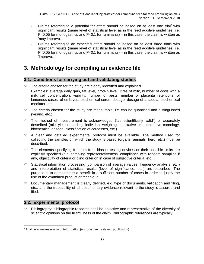- Claims referring to a potential for effect should be based on at least one trial<sup>3</sup> with significant results (same level of statistical level as in the feed additive guidelines, i.e.  $P<0.05$  for monogastrics and  $P<0.1$  for ruminants) – in this case, the claim is written as 'may improve…'
- Claims referring to an expected effect should be based on at least three trials with significant results (same level of statistical level as in the feed additive guidelines, i.e.  $P<0.05$  for monogastrics and P<0.1 for ruminants) – in this case, the claim is written as 'improve…'

### <span id="page-34-0"></span>**3. Methodology for compiling an evidence file**

#### <span id="page-34-1"></span>**3.1. Conditions for carrying out and validating studies**

 $\degree$  The criteria chosen for the study are clearly identified and explained.

Examples: average daily gain, fat level, protein level, litres of milk, number of cows with a milk cell concentration, viability, number of pests, number of placenta retentions, of lameness cases, of embryos, biochemical serum dosage, dosage of a special biochemical mediator, etc.

- $\degree$  The criteria chosen for the study are measurable; i.e. can be quantified and distinguished (yes/no, etc.)
- $\degree$  The method of measurement is acknowledged ("as scientifically valid") or accurately described (milk yield recording, individual weighing, qualitative or quantitative coprology, biochemical dosage, classification of carcasses, etc.).
- $\degree$  A clear and detailed experimental protocol must be available. The method used for collecting the samples on which the study is based (organs, animals, herd, etc.) must be described.
- $\degree$  The elements specifying freedom from bias of testing devices or their possible limits are explicitly specified (e.g. sampling representativeness, compliance with random sampling if any, objectivity of criteria or blind criterion in case of subjective criteria, etc.).
- $\degree$  Statistical information processing (comparison of average values, frequency analysis, etc.) and interpretation of statistical results (level of significance, etc.) are described. The purpose is to demonstrate a benefit in a sufficient number of cases in order to justify the use of the examined product or technique.
- Documentary management is clearly defined, e.g. type of documents, validation and filing, etc., and the traceability of all documentary evidence relevant to the study is assured and filed.

#### <span id="page-34-2"></span>**3.2. Experimental protocol**

 $\overline{\phantom{a}}$ 

 $\degree$  Bibliography: bibliographic research shall be objective and representative of the diversity of scientific opinions on the truthfulness of the claim. Bibliographic references are typically:

<sup>&</sup>lt;sup>3</sup> Trial here, means source of information (e.g. one peer reviewed publication)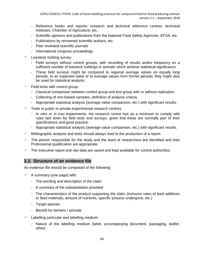- Reference books and reports: research and technical reference centres, technical institutes, Chamber of Agriculture, etc.
- Scientific opinions and publications from the National Food Safety Agencies, EFSA, etc.
- Publications by renowned scientific authors, etc.
- Peer reviewed scientific journals
- International congress proceedings
- $\degree$  Livestock holding survey:
	- Field surveys without control groups, with recording of results and/or frequency on a sufficient number of livestock holdings or animals which achieve statistical significance
	- These field surveys might be compared to regional average values on equally long periods, to an expected value or to average values from former periods; they might also be used for statistical analysis.
- $\degree$  Field tests with control group:
	- Classical comparison between control group and test group with or without replication.
	- Collecting of non-biased samples, definition of analysis criteria.
	- Appropriate statistical analysis (average value comparison, etc.) with significant results.
- $\degree$  Tests in public or private experimental research centres:
	- *In vitro* or *in vivo* experiments; the research centre has as a minimum to comply with rules laid down for field tests and surveys, given that these are normally part of their specifications and good practice.
	- Appropriate statistical analysis (average value comparison, etc.) with significant results.
- $\degree$  Bibliographic analysis and tests should always lead to the production of a report.
- $\degree$  The person responsible for the study and the team of researchers are identified and their Professional qualification are appropriate.
- <span id="page-35-0"></span> $\degree$  The executive report and raw data are saved and kept available for control authorities.

#### **3.3. Structure of an evidence file**

An evidence file should be composed of the following:

- $\degree$  A summary (one page) with:
	- The wording and description of the claim
	- A summary of the substantiation provided
	- The characteristics of the product supporting the claim (inclusion rates of feed additives or feed materials, amount of nutrients, specific process undergone, etc.)
	- Target species
	- Benefit for farmers / animals
- $\degree$  Labelling particular and labelling medium:
	- Nature of the labelling medium (label, accompanying document, packaging, leaflet, other)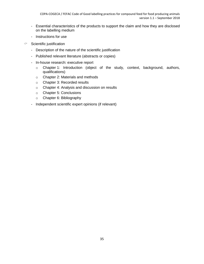- Essential characteristics of the products to support the claim and how they are disclosed on the labelling medium
- Instructions for use
- $\degree$  Scientific justification
	- Description of the nature of the scientific justification
	- Published relevant literature (abstracts or copies)
	- In-house research: executive report
		- o Chapter 1: Introduction (object of the study, context, background, authors, qualifications)
		- o Chapter 2: Materials and methods
		- o Chapter 3: Recorded results
		- o Chapter 4: Analysis and discussion on results
		- o Chapter 5: Conclusions
		- o Chapter 6: Bibliography
	- Independent scientific expert opinions (if relevant)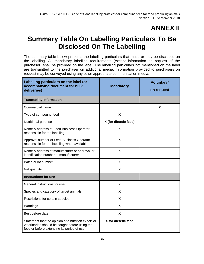# **ANNEX II**

# <span id="page-37-0"></span>**Summary Table On Labelling Particulars To Be Disclosed On The Labelling**

The summary table below presents the labelling particulars that must, or may be disclosed on the labelling. All mandatory labelling requirements (except information on request of the purchaser) shall be provided on the label. The labelling particulars not mentioned on the label are transmitted to the purchaser on additional media. Information provided to purchasers on request may be conveyed using any other appropriate communication media.

| Labelling particulars on the label (or<br>accompanying document for bulk<br>deliveries)                                                              | <b>Mandatory</b>          | <b>Voluntary/</b><br>on request |
|------------------------------------------------------------------------------------------------------------------------------------------------------|---------------------------|---------------------------------|
| <b>Traceability information</b>                                                                                                                      |                           |                                 |
| Commercial name                                                                                                                                      |                           | X                               |
| Type of compound feed                                                                                                                                | X                         |                                 |
| Nutritional purpose                                                                                                                                  | X (for dietetic feed)     |                                 |
| Name & address of Feed Business Operator<br>responsible for the labelling                                                                            | X                         |                                 |
| Approval number of Feed Business Operator<br>responsible for the labelling when available                                                            | X                         |                                 |
| Name & address of manufacturer or approval or<br>identification number of manufacturer                                                               | X                         |                                 |
| Batch or lot number                                                                                                                                  | X                         |                                 |
| Net quantity                                                                                                                                         | X                         |                                 |
| <b>Instructions for use</b>                                                                                                                          |                           |                                 |
| General instructions for use                                                                                                                         | X                         |                                 |
| Species and category of target animals                                                                                                               | X                         |                                 |
| Restrictions for certain species                                                                                                                     | X                         |                                 |
| Warnings                                                                                                                                             | X                         |                                 |
| Best before date                                                                                                                                     | $\boldsymbol{\mathsf{X}}$ |                                 |
| Statement that the opinion of a nutrition expert or<br>veterinarian should be sought before using the<br>feed or before extending its period of use. | X for dietetic feed       |                                 |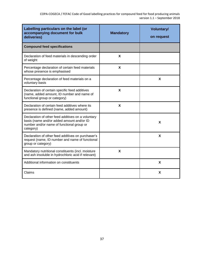| Labelling particulars on the label (or<br>accompanying document for bulk<br>deliveries)                                                                   | <b>Mandatory</b> | <b>Voluntary/</b><br>on request |
|-----------------------------------------------------------------------------------------------------------------------------------------------------------|------------------|---------------------------------|
| <b>Compound feed specifications</b>                                                                                                                       |                  |                                 |
| Declaration of feed materials in descending order<br>of weight                                                                                            | X                |                                 |
| Percentage declaration of certain feed materials<br>whose presence is emphasised                                                                          | X                |                                 |
| Percentage declaration of feed materials on a<br>voluntary basis                                                                                          |                  | X                               |
| Declaration of certain specific feed additives<br>(name, added amount, ID number and name of<br>functional group or category)                             | X                |                                 |
| Declaration of certain feed additives where its<br>presence is defined (name, added amount)                                                               | X                |                                 |
| Declaration of other feed additives on a voluntary<br>basis (name and/or added amount and/or ID<br>number and/or name of functional group or<br>category) |                  | X                               |
| Declaration of other feed additives on purchaser's<br>request (name, ID number and name of functional<br>group or category)                               |                  | X                               |
| Mandatory nutritional constituents (incl. moisture<br>and ash insoluble in hydrochloric acid if relevant)                                                 | X                |                                 |
| Additional information on constituents                                                                                                                    |                  | X                               |
| Claims                                                                                                                                                    |                  | X                               |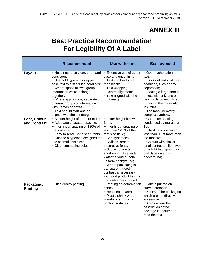# **ANNEX III**

# <span id="page-39-0"></span>**Best Practice Recommendation For Legibility Of A Label**

|                                     | <b>Recommended</b>                                                                                                                                                                                                                                                                                                                                          | <b>Use with care</b>                                                                                                                                                                                                                                                                                                                                                                                         | <b>Best avoided</b>                                                                                                                                                                                                                                                                        |
|-------------------------------------|-------------------------------------------------------------------------------------------------------------------------------------------------------------------------------------------------------------------------------------------------------------------------------------------------------------------------------------------------------------|--------------------------------------------------------------------------------------------------------------------------------------------------------------------------------------------------------------------------------------------------------------------------------------------------------------------------------------------------------------------------------------------------------------|--------------------------------------------------------------------------------------------------------------------------------------------------------------------------------------------------------------------------------------------------------------------------------------------|
| Layout                              | ~ Headings to be clear, short and<br>consistent;<br>~ Use bold type and/or upper<br>case text to distinguish headings;<br>~ Where space allows, group<br>information which belongs<br>together;<br>~ Where appropriate, separate<br>different groups of information<br>with frames or boxes;<br>~ Text should start and be<br>aligned with the left margin; | $\sim$ Extensive use of upper<br>case and underlining;<br>~ Text in other format<br>than blocks;<br>$\sim$ Text wrapping;<br>~ Centre alignment;<br>$\sim$ Text aligned with the<br>right margin;                                                                                                                                                                                                            | ~ Over hyphenation of<br>text;<br>~ Blocks of texts without<br>headings, titles or any<br>separation;<br>$\sim$ Placing a large amount<br>of text with only one or<br>two words on each line;<br>$\sim$ Placing the information<br>in circles.<br>~ Too many or overly<br>complex symbols. |
| <b>Font, Colour</b><br>and Contrast | ~ A letter height of 1mm or more;<br>~ Adequate character spacing;<br>~ Inter-linear spacing of 120% of<br>the font size;<br>~ Easy-to-read (Sans serif) fonts;<br>~ Choose a typeface designed for<br>use at small font size;<br>~ Clear contrasting colours.                                                                                              | ~ Letter height below<br>1mm;<br>$\sim$ Inter-linear spacing of<br>less than 120% of the<br>font size Italic;<br>~ Serif typefaces;<br>~ Stylised, ornate<br>decorative fonts;<br>~ Subtle contrasts,<br>shadowing, 3D effects,<br>watermarking or non-<br>uniform background;<br>~ Where packaging is<br>transparent, good<br>contrast is necessary<br>with food product forming<br>the visible background. | $\overline{\sim}$ Character spacing<br>condensed by more than<br>1pt;<br>~ Inter-linear spacing of<br>less than 0,5pt more than<br>the font size;<br>$\sim$ Colours with similar<br>tonal contrasts - light type<br>on a light background or<br>dark type on a dark<br>background;         |
| Packaging/<br><b>Printing</b>       | $\sim$ High quality printing                                                                                                                                                                                                                                                                                                                                | $\sim$ Printing on deformation<br>zones:<br>~ Heat sealed areas;<br>~ Plastic shrink wrap;<br>~ Metallic and shiny<br>printing surfaces;                                                                                                                                                                                                                                                                     | $\sim$ Labels printed on<br>curved surfaces.<br>$\sim$ Zones of the packaging<br>which are not directly<br>accessible;<br>$\sim$ Areas where the<br>destruction of the<br>package is required to<br>read the text.                                                                         |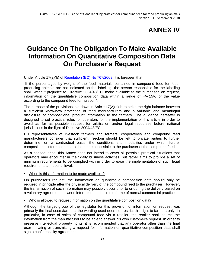# **ANNEX IV**

## <span id="page-40-0"></span>**Guidance On The Obligation To Make Available Information On Quantitative Composition Data On Purchaser's Request**

Under Article 17(2)(b) of [Regulation \(EC\) No](http://eur-lex.europa.eu/legal-content/EN/TXT/PDF/?uri=CELEX:02009R0767-20100901&qid=1465241522728&from=EN) 767/2009, it is foreseen that:

"If the percentages by weight of the feed materials contained in compound feed for foodproducing animals are not indicated on the labelling, the person responsible for the labelling shall, without prejudice to Directive 2004/48/EC, make available to the purchaser, on request, information on the quantitative composition data within a range of  $+/-15\%$  of the value according to the compound feed formulation".

The purpose of the provisions laid down in Article 17(2)(b) is to strike the right balance between a sufficient know-how protection of feed manufacturers and a valuable and meaningful disclosure of compositional product information to the farmers. The guidance hereafter is designed to set practical rules for operators for the implementation of this article in order to avoid as far as possible request for arbitration and/or legal recourses before national jurisdictions in the light of Directive 2004/48/EC.

EU representatives of livestock farmers and farmers' cooperatives and compound feed manufacturers consider that sufficient freedom should be left to private parties to further determine, on a contractual basis, the conditions and modalities under which further compositional information should be made accessible to the purchaser of the compound feed.

As a consequence, this Annex does not intend to cover all possible practical situations that operators may encounter in their daily business activities, but rather aims to provide a set of minimum requirements to be complied with in order to ease the implementation of such legal requirements at national level.

• When is this information to be made available?

On purchaser's request, the information on quantitative composition data should only be required in principle after the physical delivery of the compound feed to the purchaser. However, the transmission of such information may possibly occur prior to or during the delivery based on a voluntary agreement between interested parties in the frame of normal commercial practices.

• Who is allowed to request information on the quantitative composition data?

Although the target group of the legislator for this provision of information on request was primarily the final users/farmers, the wording used does not restrict this right to farmers only. In particular, in case of sales of compound feed via a retailer, the retailer shall source the information from the manufacturers to be able to answer his own customer's request. In order to preserve intellectual property rights, it is recommended that any operator other than the final user initiating or transmitting a request for information on quantitative composition data shall sign a confidentiality agreement.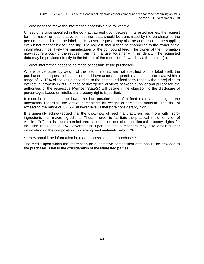#### • Who needs to make the information accessible and to whom?

Unless otherwise specified in the contract agreed upon between interested parties, the request for information on quantitative composition data should be transmitted by the purchaser to the person responsible for the labelling. However, requests may also be addressed to the supplier, even if not responsible for labelling. The request should then be channelled to the owner of the information, most likely the manufacturer of the compound feed. The owner of the information may require a copy of the request from the final user together with his identity. The requested data may be provided directly to the initiator of the request or forward it via the retailer(s).

#### • What information needs to be made accessible to the purchaser?

Where percentages by weight of the feed materials are not specified on the label itself, the purchaser, on request to its supplier, shall have access to quantitative composition data within a range of +/- 15% of the value according to the compound feed formulation without prejudice to intellectual property rights. In case of divergence of views between supplier and purchaser, the authorities of the respective Member State(s) will decide if the objection to the disclosure of percentages based on intellectual property rights is justified.

It must be noted that the lower the incorporation rate of a feed material, the higher the uncertainty regarding the actual percentage by weight of this feed material. The risk of exceeding the range of +/-15 % at lower level is therefore considerably high.

It is generally acknowledged that the know-how of feed manufacturers lies more with microingredients than macro-ingredients. Thus, in order to facilitate the practical implementation of Article 17(2)b, it is recommended that suppliers do not claim intellectual property rights for inclusion rates above 5%. Nevertheless, upon request purchasers may also obtain further information on the composition concerning feed materials below 5%.

#### • How should the information be made accessible to the purchaser?

The media upon which the information on quantitative composition data should be provided to the purchaser is left to the consideration of the interested parties.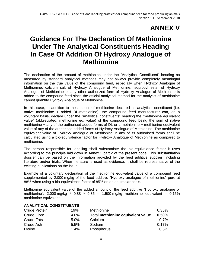# **ANNEX V**

# <span id="page-42-0"></span>**Guidance For The Declaration Of Methionine Under The Analytical Constituents Heading In Case Of Addition Of Hydroxy Analogue of Methionine**

The declaration of the amount of methionine under the "Analytical Constituent" heading as measured by standard analytical methods may not always provide completely meaningful information on the true value of the compound feed, especially when Hydroxy Analogue of Methionine, calcium salt of Hydroxy Analogue of Methionine, isopropyl ester of Hydroxy Analogue of Methionine or any other authorized form of Hydroxy Analogue of Methionine is added to the compound feed since the official analytical method for the analysis of methionine cannot quantify Hydroxy Analogue of Methionine.

In this case, in addition to the amount of methionine declared as analytical constituent (i.e. native methionine + added DL-methionine), the compound feed manufacturer can, on a voluntary basis, declare under the "Analytical constituents" heading the "methionine equivalent value" (abbreviated: methionine eq. value) of the compound feed being the sum of native methionine  $+$  any of the authorised added forms of DL or L-methionine  $+$  methionine equivalent value of any of the authorised added forms of Hydroxy Analogue of Methionine. The methionine equivalent value of Hydroxy Analogue of Methionine in any of its authorised forms shall be calculated using a bio-equivalence factor for Hydroxy Analogue of Methionine as compared to methionine.

The person responsible for labelling shall substantiate the bio-equivalence factor it uses according to the principle laid down in Annex 1 part 2 of the present code. This substantiation dossier can be based on the information provided by the feed additive supplier, including literature and/or trials. When literature is used as evidence, it shall be representative of the existing publications on the issue.

Example of a voluntary declaration of the methionine equivalent value of a compound feed supplemented by 2,000 mg/kg of the feed additive "Hydroxy analogue of methionine" pure at 88% when using a bio-equivalence factor of 85% on an equimolar basis.

Methionine equivalent value of the added amount of the feed additive "Hydroxy analogue of methionine":  $2,000$  mg/kg  $*$  0.88  $*$  0.85 = 1,500 mg/kg methionine equivalent = 0.15% methionine equivalent

#### **ANALYTICAL CONSTITUENTS**

| <b>Crude Protein</b> | 19%     | Methionine                        | 0.35%    |
|----------------------|---------|-----------------------------------|----------|
| Crude Fibre          | 4.0%    | Total methionine equivalent value | 0.50%    |
| <b>Crude Fats</b>    | 5.0%    | Calcium                           | 0.7%     |
| Crude Ash            | 5.5%    | Sodium                            | $0.17\%$ |
| Lysine               | $1.4\%$ | Phosphorus                        | 0.5%     |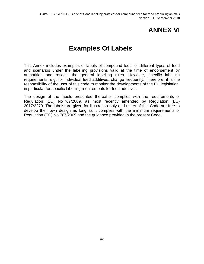# **ANNEX VI**

# **Examples Of Labels**

<span id="page-43-0"></span>This Annex includes examples of labels of compound feed for different types of feed and scenarios under the labelling provisions valid at the time of endorsement by authorities and reflects the general labelling rules. However, specific labelling requirements, e.g. for individual feed additives, change frequently. Therefore, it is the responsibility of the user of this code to monitor the developments of the EU legislation, in particular for specific labelling requirements for feed additives.

The design of the labels presented thereafter complies with the requirements of Regulation (EC) No 767/2009, as most recently amended by Regulation (EU) 2017/2279. The labels are given for illustration only and users of this Code are free to develop their own design as long as it complies with the minimum requirements of Regulation (EC) No 767/2009 and the guidance provided in the present Code.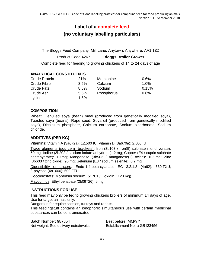### **Label of a complete feed**

### **(no voluntary labelling particulars)**

The Bloggs Feed Company, Mill Lane, Anytown, Anywhere, AA1 1ZZ Product Code 4267 **Bloggs Broiler Grower**

Complete feed for feeding to growing chickens of 14 to 24 days of age

#### **ANALYTICAL CONSTITUENTS**

Crude Protein 21% Methionine 0.6% Crude Fibre 3.5% Calcium 1.0% Crude Fats 8.5% Sodium 0.15% Crude Ash  $5.5\%$  Phosphorus 0.6% Lysine 1.5%

#### **COMPOSITION**

Wheat, Dehulled soya (bean) meal (produced from genetically modified soya), Toasted soya (beans), Rape seed, Soya oil (produced from genetically modified soya), Dicalcium phosphate, Calcium carbonate, Sodium bicarbonate, Sodium chloride.

#### **ADDITIVES (PER KG)**

Vitamins: Vitamin A (3a672a): 12,500 IU; Vitamin D (3a670a): 2,500 IU

Trace elements (source in brackets): Iron (3b103 / Iron(II) sulphate monohydrate): 50 mg; Iodine (3b202 / calcium iodate anhydrous): 2 mg; Copper (E4 / cupric sulphate pentahydrate): 19 mg; Manganese (3b502 / manganese(II) oxide): 105 mg; Zinc (3b603 / zinc oxide): 90 mg; Selenium (E8 / sodium selenite): 0.2 mg

Digestibility enhancers: Endo-1,4-beta-xylanase EC 3.2.1.8 (4a62): 560 TXU; 3-phytase (4a1600): 500 FTU

Coccidiostats: Monensin sodium (51701 / Coxidin): 120 mg)

Flavourings: Ethyl benzoate (2b09726): 6 mg

#### **INSTRUCTIONS FOR USE**

This feed may only be fed to growing chickens broilers of minimum 14 days of age. Use for target animals only.

Dangerous for equine species, turkeys and rabbits.

This feedingstuff contains an ionophore: simultaneous use with certain medicinal substances can be contraindicated.

| Batch Number: 987654                  | Best before: MM/YY                  |
|---------------------------------------|-------------------------------------|
| Net weight: See delivery note/invoice | Establishment No: $\alpha$ GB123456 |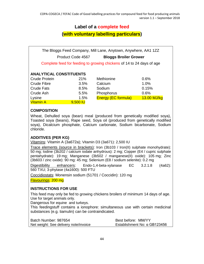### **Label of a complete feed**

**(with voluntary labelling particulars)**

The Bloggs Feed Company, Mill Lane, Anytown, Anywhere, AA1 1ZZ Product Code 4567 **Bloggs Broiler Grower** Complete feed for feeding to growing chickens of 14 to 24 days of age **ANALYTICAL CONSTITUENTS** Crude Protein 21% Methionine 0.6% Crude Fibre 3.5% Calcium 1.0% Crude Fats **8.5%** Sodium **0.15%** Crude Ash  $5.5\%$  Phosphorus 0.6% Lysine 1.5% Energy (EC formula) 13.00 MJ/kg Vitamin A 9,500 IU

#### **COMPOSITION**

Wheat, Dehulled soya (bean) meal (produced from genetically modified soya), Toasted soya (beans), Rape seed, Soya oil (produced from genetically modified soya), Dicalcium phosphate, Calcium carbonate, Sodium bicarbonate, Sodium chloride.

#### **ADDITIVES (PER KG)**

Vitamins: Vitamin A (3a672a); Vitamin D3 (3a671): 2,500 IU

Trace elements (source in brackets): Iron (3b103 / Iron(II) sulphate monohydrate): 50 mg; Iodine (3b202 / calcium iodate anhydrous): 2 mg; Copper (E4 / cupric sulphate pentahydrate): 19 mg; Manganese (3b502 / manganese(II) oxide): 105 mg; Zinc (3b603 / zinc oxide): 90 mg: 45 mg; Selenium (E8 / sodium selenite): 0.2 mg

Digestibility enhancers: Endo-1,4-beta-xylanase EC 3.2.1.8 (4a62): 560 TXU; 3-phytase (4a1600): 500 FTU

Coccidiostats: Monensin sodium (51701 / Coccidin): 120 mg

Flavourings: 200 mg

#### **INSTRUCTIONS FOR USE**

This feed may only be fed to growing chickens broilers of minimum 14 days of age. Use for target animals only.

Dangerous for equine and turkeys.

This feedingstuff contains a ionophore: simultaneous use with certain medicinal substances (e.g. tiamulin) can be contraindicated.

| Batch Number: 987654                  | Best before: MM/YY                  |
|---------------------------------------|-------------------------------------|
| Net weight: See delivery note/invoice | Establishment No: $\alpha$ GB123456 |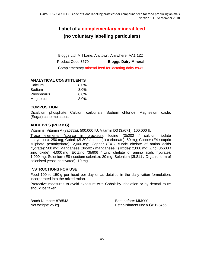### **Label of a complementary mineral feed (no voluntary labelling particulars)**

Bloggs Ltd, Mill Lane, Anytown, Anywhere, AA1 1ZZ Product Code 3579 **Bloggs Dairy Mineral** Complementary mineral feed for lactating dairy cows

#### **ANALYTICAL CONSTITUENTS**

| Calcium    | $8.0\%$ |
|------------|---------|
| Sodium     | $8.0\%$ |
| Phosphorus | $6.0\%$ |
| Magnesium  | $8.0\%$ |

#### **COMPOSITION**

Dicalcium phosphate, Calcium carbonate, Sodium chloride, Magnesium oxide, (Sugar) cane molasses.

#### **ADDITIVES (PER KG)**

Vitamins: Vitamin A (3a672a): 500,000 IU; Vitamin D3 (3a671): 100,000 IU

Trace elements (source in brackets): Iodine (3b202 / calcium iodate anhydrous): 250 mg; Cobalt (3b302 / cobalt(II) carbonate): 60 mg; Copper (E4 / cupric sulphate pentahydrate): 2,000 mg; Copper (E4 / cupric chelate of amino acids hydrate): 500 mg; Manganese (3b502 / manganese(II) oxide): 2,000 mg; Zinc (3b603 / zinc oxide): 4,000 mg; E6 Zinc (3b606 / zinc chelate of amino acids hydrate): 1,000 mg; Selenium (E8 / sodium selenite): 20 mg; Selenium (3b811 / Organic form of selenised yeast inactivated): 10 mg

#### **INSTRUCTIONS FOR USE**

.

Feed 100 to 150 g per head per day or as detailed in the daily ration formulation, incorporated into the mixed ration.

| Batch Number: 876543 | Best before: MM/YY                  |
|----------------------|-------------------------------------|
| Net weight: 25 kg    | Establishment No: $\alpha$ GB123456 |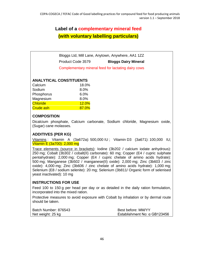### **Label of a complementary mineral feed (with voluntary labelling particulars)**

Bloggs Ltd, Mill Lane, Anytown, Anywhere, AA1 1ZZ Product Code 3579 **Bloggs Dairy Mineral** Complementary mineral feed for lactating dairy cows

#### **ANALYTICAL CONSTITUENTS**

| Calcium          | 18.0% |
|------------------|-------|
| Sodium           | 8.0%  |
| Phosphorus       | 6.0%  |
| Magnesium        | 8.0%  |
| <b>Chloride</b>  | 12.0% |
| <b>Crude ash</b> | 87.0% |

#### **COMPOSITION**

Dicalcium phosphate, Calcium carbonate, Sodium chloride, Magnesium oxide, (Sugar) cane molasses.

#### **ADDITIVES (PER KG)**

Vitamins : Vitamin A (3a672a): 500,000 IU ; Vitamin D3 (3a671): 100,000 IU; Vitamin E (3a700): 2,000 mg

Trace elements (source in brackets): Iodine (3b202 / calcium iodate anhydrous): 250 mg; Cobalt (3b302 / cobalt(II) carbonate): 60 mg; Copper (E4 / cupric sulphate pentahydrate): 2,000 mg; Copper (E4 / cupric chelate of amino acids hydrate): 500 mg; Manganese (3b502 / manganese(II) oxide): 2,000 mg; Zinc (3b603 / zinc oxide): 4,000 mg; Zinc (3b606 / zinc chelate of amino acids hydrate): 1,000 mg; Selenium (E8 / sodium selenite): 20 mg; Selenium (3b811/ Organic form of selenised yeast inactivated): 10 mg

#### **INSTRUCTIONS FOR USE**

Feed 100 to 150 g per head per day or as detailed in the daily ration formulation, incorporated into the mixed ration.

| Batch Number: 876543 | Best before: MM/YY                  |
|----------------------|-------------------------------------|
| Net weight: 25 kg    | Establishment No: $\alpha$ GB123456 |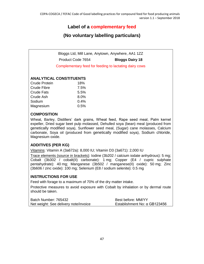### **Label of a complementary feed**

### **(No voluntary labelling particulars)**

Bloggs Ltd, Mill Lane, Anytown, Anywhere, AA1 1ZZ Product Code 7654 **Bloggs Dairy 18**

Complementary feed for feeding to lactating dairy cows

#### **ANALYTICAL CONSTITUENTS**

| 18%  |
|------|
| 7.5% |
| 5.5% |
| 8.0% |
| 0.4% |
| 0.5% |
|      |

#### **COMPOSITION**

Wheat, Barley, Distillers' dark grains, Wheat feed, Rape seed meal, Palm kernel expeller, Dried sugar beet pulp molassed, Dehulled soya (bean) meal (produced from genetically modified soya), Sunflower seed meal, (Sugar) cane molasses, Calcium carbonate, Soya oil (produced from genetically modified soya), Sodium chloride, Magnesium oxide.

#### **ADDITIVES (PER KG)**

Vitamins: Vitamin A (3a672a): 8,000 IU; Vitamin D3 (3a671): 2,000 IU

Trace elements (source in brackets): Iodine (3b202 / calcium iodate anhydrous): 5 mg; Cobalt (3b302 / cobalt(II) carbonate): 1 mg; Copper (E4 / cupric sulphate pentahydrate): 40 mg; Manganese (3b502 / manganese(II) oxide): 50 mg; Zinc (3b606 / zinc oxide): 100 mg; Selenium (E8 / sodium selenite): 0.5 mg

#### **INSTRUCTIONS FOR USE**

Feed with forage to a maximum of 70% of the dry matter intake.

| Batch Number: 765432                  | Best before: MM/YY                  |
|---------------------------------------|-------------------------------------|
| Net weight: See delivery note/invoice | Establishment No: $\alpha$ GB123456 |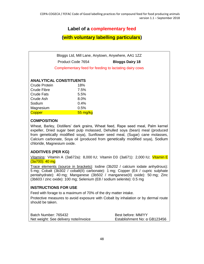### **Label of a complementary feed**

#### **(with voluntary labelling particulars)**

Bloggs Ltd, Mill Lane, Anytown, Anywhere, AA1 1ZZ Product Code 7654 **Bloggs Dairy 18** Complementary feed for feeding to lactating dairy cows

#### **ANALYTICAL CONSTITUENTS**

| <b>Crude Protein</b> | 18%      |
|----------------------|----------|
| <b>Crude Fibre</b>   | 7.5%     |
| <b>Crude Fats</b>    | 5.5%     |
| Crude Ash            | 8.0%     |
| Sodium               | 0.4%     |
| Magnesium            | 0.5%     |
| <b>Copper</b>        | 55 mg/kg |

#### **COMPOSITION**

Wheat, Barley, Distillers' dark grains, Wheat feed, Rape seed meal, Palm kernel expeller, Dried sugar beet pulp molassed, Dehulled soya (bean) meal (produced from genetically modified soya), Sunflower seed meal, (Sugar) cane molasses, Calcium carbonate, Soya oil (produced from genetically modified soya), Sodium chloride, Magnesium oxide.

#### **ADDITIVES (PER KG)**

Vitamins: Vitamin A (3a672a): 8,000 IU; Vitamin D3 (3a671): 2,000 IU; Vitamin E (3a700): 40 mg

Trace elements (source in brackets): Iodine (3b202 / calcium iodate anhydrous): 5 mg; Cobalt (3b302 / cobalt(II) carbonate): 1 mg; Copper (E4 / cupric sulphate pentahydrate): 40 mg; Manganese (3b502 / manganese(II) oxide): 50 mg; Zinc (3b603 / zinc oxide): 100 mg; Selenium (E8 / sodium selenite): 0.5 mg

#### **INSTRUCTIONS FOR USE**

Feed with forage to a maximum of 70% of the dry matter intake.

| Batch Number: 765432                  | Best before: MM/YY           |
|---------------------------------------|------------------------------|
| Net weight: See delivery note/invoice | Establishment No: α GB123456 |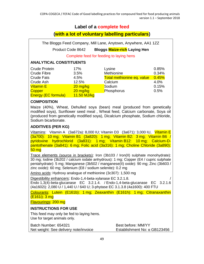### **Label of a complete feed**

### **(with a lot of voluntary labelling particulars)**

The Bloggs Feed Company, Mill Lane, Anytown, Anywhere, AA1 1ZZ

Product Code 8642 **Bloggs Maize-rich Laying Hen**

Complete feed for feeding to laying hens

#### **ANALYTICAL CONSTITUENTS**

| <b>Crude Protein</b>       | 17%         | Lysine                     | 0.85% |
|----------------------------|-------------|----------------------------|-------|
| <b>Crude Fibre</b>         | 3.5%        | Methionine                 | 0.34% |
| <b>Crude Fats</b>          | 4.5%        | Total methionine eq. value | 0.45% |
| Crude Ash                  | 12.5%       | Calcium                    | 4.0%  |
| <b>Vitamin E</b>           | $20$ mg/kg  | Sodium                     | 0.15% |
| <b>Copper</b>              | 20 mg/kg    | Phosphorus                 | 0.5%  |
| <b>Energy (EC formula)</b> | 11.50 MJ/kg |                            |       |

#### **COMPOSITION**

Maize (40%), Wheat, Dehulled soya (bean) meal (produced from genetically modified soya), Sunflower seed meal , Wheat feed, Calcium carbonate, Soya oil (produced from genetically modified soya), Dicalcium phosphate, Sodium chloride, Sodium bicarbonate.

#### **ADDITIVES (PER KG)**

Vitamins: Vitamin A (3a672a): 8,000 IU; Vitamin D3 (3a671): 3,000 IU, Vitamin E (3a700): 10 mg; Vitamin B1 (3a820): 1 mg; Vitamin B2: 3 mg; Vitamin B6 / pyridoxine hydrochlorid (3a831): 1 mg; Vitamin B12: 10 mg; Calcium-Dpantothenate (3a841): 6 mg; Folic acid (3a316): 1 mg; Choline Chloride (3a890): 50 mg

Trace elements (source in brackets): Iron (3b103 / Iron(II) sulphate monohydrate): 30 mg; Iodine (3b202 / calcium iodate anhydrous): 1 mg; Copper (E4 / cupric sulphate pentahydrate): 5 mg; Manganese (3b502 / manganese(II) oxide): 90 mg; Zinc (3b603 / zinc oxide): 60 mg; Selenium (E8 / sodium selenite): 0.2 mg

Amino acids: Hydroxy analogue of methionine (3c307): 1,500 mg

Digestibility enhancers: Endo-1,4-beta-xylanase EC 3,2,1,8.

Endo 1,3(4)-beta-glucanase EC 3.2.1.4. / Endo-1,4-beta-glucanase EC 3.2.1.6 (4a1602i): 2,080 U / 1,440 U / 640 U; 3-phytase EC 3.1.3.8 (4a1600): 400 FTU

Colourants: Lutein (E161b): 1 mg; Zeaxanthin (E161h): 1 mg; Citranaxanthin (E161i): 3 mg

Flavourings: 200 mg

#### **INSTRUCTIONS FOR USE**

This feed may only be fed to laying hens. Use for target animals only.

Batch Number: 654321 Best before: MM/YY Net weight: See delivery note/invoice Establishment No: α GB123456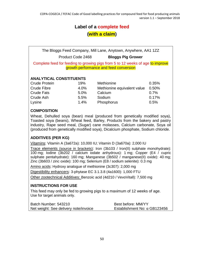### **Label of a complete feed**

### **(with a claim)**

The Bloggs Feed Company, Mill Lane, Anytown, Anywhere, AA1 1ZZ

Product Code 2468 **Bloggs Pig Grower**

Complete feed for feeding to growing pigs from 5 to 12 weeks of age to improve growth performance and feed conversion

#### **ANALYTICAL CONSTITUENTS**

Crude Protein 19% Methionine 0.35% Crude Fibre 4.0% Methionine equivalent value 0.50% Crude Fats 5.0% Calcium 0.7% Crude Ash 5.5% Sodium 0.17% Lysine 1.4% Phosphorus 0.5%

#### **COMPOSITION**

Wheat, Dehulled soya (bean) meal (produced from genetically modified soya), Toasted soya (beans), Wheat feed, Barley, Products from the bakery and pastry industry, Rape seed meal, (Sugar) cane molasses, Calcium carbonate, Soya oil (produced from genetically modified soya), Dicalcium phosphate, Sodium chloride.

#### **ADDITIVES (PER KG)**

Vitamins: Vitamin A (3a672a): 10,000 IU; Vitamin D (3a670a): 2,000 IU

Trace elements (source in brackets): Iron (3b103 / Iron(II) sulphate monohydrate): 100 mg; Iodine (3b202 / calcium iodate anhydrous): 1 mg; Copper (E4 / cupric sulphate pentahydrate): 160 mg; Manganese (3b502 / manganese(II) oxide): 40 mg; Zinc (3b603 / zinc oxide): 100 mg; Selenium (E8 / sodium selenite): 0.3 mg

Amino acids: Hydroxy analogue of methionine (3c307): 2,000 mg

Digestibility enhancers: 3-phytase EC 3.1.3.8 (4a1600): 1,000 FTU

Other zootechnical Additives: Benzoic acid (4d210 / VevoVitall): 7,500 mg

#### **INSTRUCTIONS FOR USE**

This feed may only be fed to growing pigs to a maximum of 12 weeks of age. Use for target animals only.

| Batch Number: 543210                  | Best before: MM/YY                  |
|---------------------------------------|-------------------------------------|
| Net weight: See delivery note/invoice | Establishment No: $\alpha$ GB123456 |